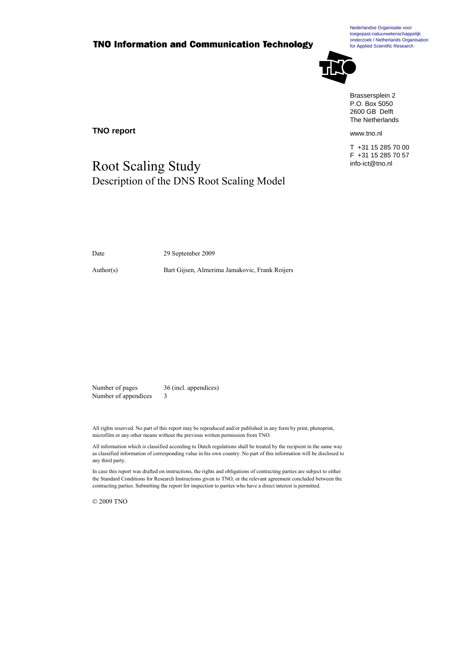### **TNO Information and Communication Technology**

Nederlandse Organisatie voor toegepast-natuurwetenschappelijk onderzoek / Netherlands Organisation for Applied Scientific Research



Brassersplein 2 P.O. Box 5050 2600 GB Delft The Netherlands

www.tno.nl

T +31 15 285 70 00 F +31 15 285 70 57 info-ict@tno.nl

**TNO report** 

## Root Scaling Study Description of the DNS Root Scaling Model

Date 29 September 2009

Author(s) Bart Gijsen, Almerima Jamakovic, Frank Roijers

Number of pages 36 (incl. appendices) Number of appendices 3

All rights reserved. No part of this report may be reproduced and/or published in any form by print, photoprint, microfilm or any other means without the previous written permission from TNO.

All information which is classified according to Dutch regulations shall be treated by the recipient in the same way as classified information of corresponding value in his own country. No part of this information will be disclosed to any third party.

In case this report was drafted on instructions, the rights and obligations of contracting parties are subject to either the Standard Conditions for Research Instructions given to TNO, or the relevant agreement concluded between the contracting parties. Submitting the report for inspection to parties who have a direct interest is permitted.

© 2009 TNO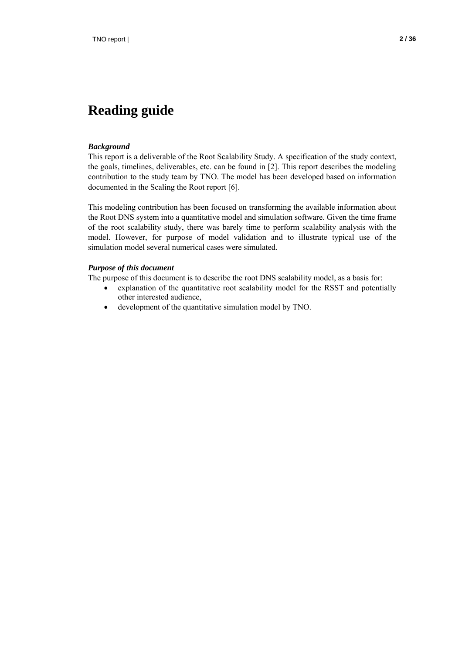#### *Background*

This report is a deliverable of the Root Scalability Study. A specification of the study context, the goals, timelines, deliverables, etc. can be found in [2]. This report describes the modeling contribution to the study team by TNO. The model has been developed based on information documented in the Scaling the Root report [6].

This modeling contribution has been focused on transforming the available information about the Root DNS system into a quantitative model and simulation software. Given the time frame of the root scalability study, there was barely time to perform scalability analysis with the model. However, for purpose of model validation and to illustrate typical use of the simulation model several numerical cases were simulated.

#### *Purpose of this document*

The purpose of this document is to describe the root DNS scalability model, as a basis for:

- explanation of the quantitative root scalability model for the RSST and potentially other interested audience,
- development of the quantitative simulation model by TNO.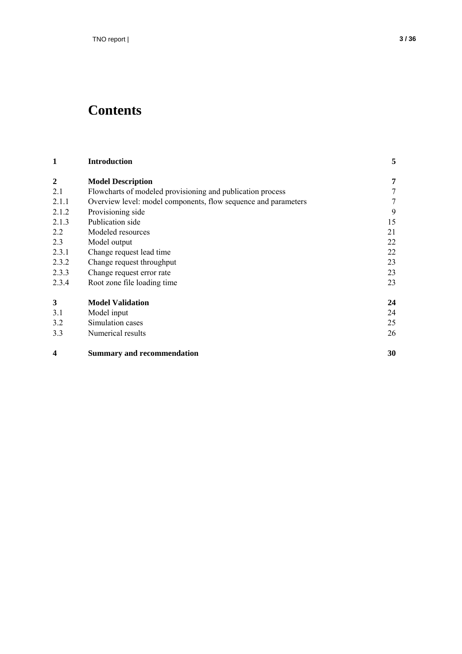# **Contents**

| 1     | <b>Introduction</b>                                            |        |
|-------|----------------------------------------------------------------|--------|
| 2     | <b>Model Description</b>                                       | 7      |
| 2.1   | Flowcharts of modeled provisioning and publication process     |        |
| 2.1.1 | Overview level: model components, flow sequence and parameters | $\tau$ |
| 2.1.2 | Provisioning side                                              | 9      |
| 2.1.3 | Publication side                                               | 15     |
| 2.2   | Modeled resources                                              | 21     |
| 2.3   | Model output                                                   | 22     |
| 2.3.1 | Change request lead time                                       | 22     |
| 2.3.2 | Change request throughput                                      | 23     |
| 2.3.3 | Change request error rate                                      | 23     |
| 2.3.4 | Root zone file loading time                                    | 23     |
| 3     | <b>Model Validation</b>                                        | 24     |
| 3.1   | Model input                                                    | 24     |
| 3.2   | Simulation cases                                               | 25     |
| 3.3   | Numerical results                                              | 26     |
| 4     | <b>Summary and recommendation</b>                              | 30     |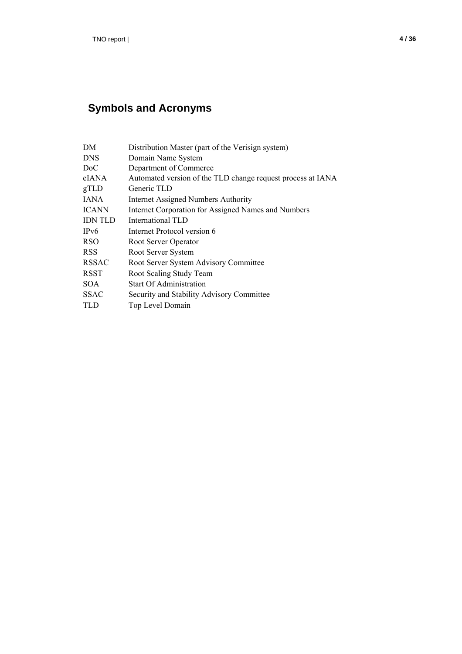## **Symbols and Acronyms**

| DM             | Distribution Master (part of the Verisign system)           |
|----------------|-------------------------------------------------------------|
| <b>DNS</b>     | Domain Name System                                          |
| DoC            | Department of Commerce                                      |
| eIANA          | Automated version of the TLD change request process at IANA |
| gTLD           | Generic TLD                                                 |
| <b>JANA</b>    | <b>Internet Assigned Numbers Authority</b>                  |
| <b>ICANN</b>   | Internet Corporation for Assigned Names and Numbers         |
| <b>IDN TLD</b> | International TLD                                           |
| IPv6           | Internet Protocol version 6                                 |
| <b>RSO</b>     | Root Server Operator                                        |
| <b>RSS</b>     | Root Server System                                          |
| <b>RSSAC</b>   | Root Server System Advisory Committee                       |
| <b>RSST</b>    | Root Scaling Study Team                                     |
| <b>SOA</b>     | <b>Start Of Administration</b>                              |
| <b>SSAC</b>    | Security and Stability Advisory Committee                   |
| TLD            | Top Level Domain                                            |
|                |                                                             |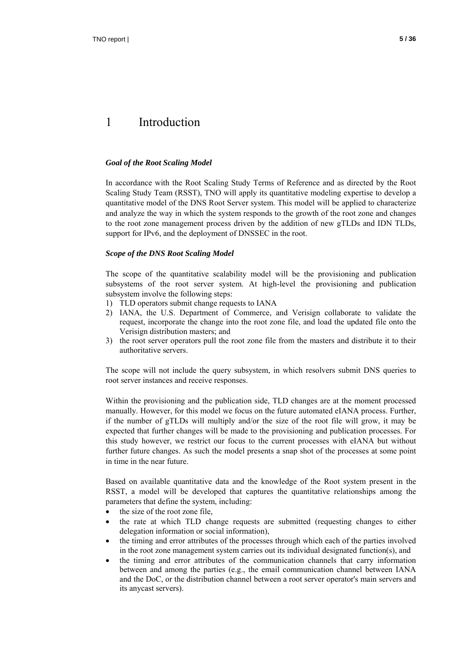## 1 Introduction

#### *Goal of the Root Scaling Model*

In accordance with the Root Scaling Study Terms of Reference and as directed by the Root Scaling Study Team (RSST), TNO will apply its quantitative modeling expertise to develop a quantitative model of the DNS Root Server system. This model will be applied to characterize and analyze the way in which the system responds to the growth of the root zone and changes to the root zone management process driven by the addition of new gTLDs and IDN TLDs, support for IPv6, and the deployment of DNSSEC in the root.

#### *Scope of the DNS Root Scaling Model*

The scope of the quantitative scalability model will be the provisioning and publication subsystems of the root server system. At high-level the provisioning and publication subsystem involve the following steps:

- 1) TLD operators submit change requests to IANA
- 2) IANA, the U.S. Department of Commerce, and Verisign collaborate to validate the request, incorporate the change into the root zone file, and load the updated file onto the Verisign distribution masters; and
- 3) the root server operators pull the root zone file from the masters and distribute it to their authoritative servers.

The scope will not include the query subsystem, in which resolvers submit DNS queries to root server instances and receive responses.

Within the provisioning and the publication side, TLD changes are at the moment processed manually. However, for this model we focus on the future automated eIANA process. Further, if the number of gTLDs will multiply and/or the size of the root file will grow, it may be expected that further changes will be made to the provisioning and publication processes. For this study however, we restrict our focus to the current processes with eIANA but without further future changes. As such the model presents a snap shot of the processes at some point in time in the near future.

Based on available quantitative data and the knowledge of the Root system present in the RSST, a model will be developed that captures the quantitative relationships among the parameters that define the system, including:

- the size of the root zone file,
- the rate at which TLD change requests are submitted (requesting changes to either delegation information or social information),
- the timing and error attributes of the processes through which each of the parties involved in the root zone management system carries out its individual designated function(s), and
- the timing and error attributes of the communication channels that carry information between and among the parties (e.g., the email communication channel between IANA and the DoC, or the distribution channel between a root server operator's main servers and its anycast servers).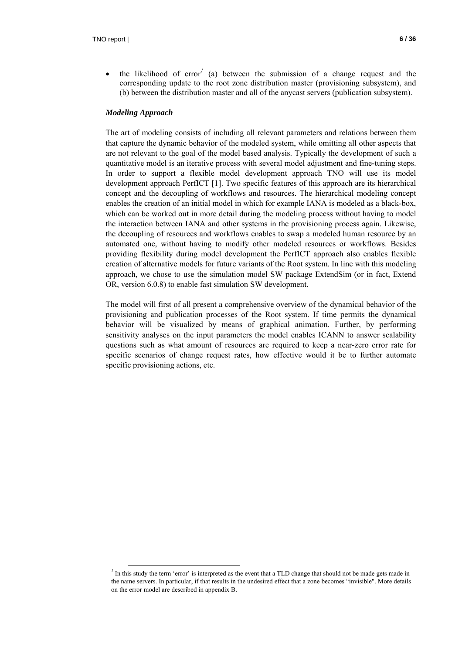$\bullet$  the likelihood of error<sup>1</sup> (a) between the submission of a change request and the corresponding update to the root zone distribution master (provisioning subsystem), and (b) between the distribution master and all of the anycast servers (publication subsystem).

#### *Modeling Approach*

 $\overline{a}$ 

The art of modeling consists of including all relevant parameters and relations between them that capture the dynamic behavior of the modeled system, while omitting all other aspects that are not relevant to the goal of the model based analysis. Typically the development of such a quantitative model is an iterative process with several model adjustment and fine-tuning steps. In order to support a flexible model development approach TNO will use its model development approach PerfICT [1]. Two specific features of this approach are its hierarchical concept and the decoupling of workflows and resources. The hierarchical modeling concept enables the creation of an initial model in which for example IANA is modeled as a black-box, which can be worked out in more detail during the modeling process without having to model the interaction between IANA and other systems in the provisioning process again. Likewise, the decoupling of resources and workflows enables to swap a modeled human resource by an automated one, without having to modify other modeled resources or workflows. Besides providing flexibility during model development the PerfICT approach also enables flexible creation of alternative models for future variants of the Root system. In line with this modeling approach, we chose to use the simulation model SW package ExtendSim (or in fact, Extend OR, version 6.0.8) to enable fast simulation SW development.

The model will first of all present a comprehensive overview of the dynamical behavior of the provisioning and publication processes of the Root system. If time permits the dynamical behavior will be visualized by means of graphical animation. Further, by performing sensitivity analyses on the input parameters the model enables ICANN to answer scalability questions such as what amount of resources are required to keep a near-zero error rate for specific scenarios of change request rates, how effective would it be to further automate specific provisioning actions, etc.

 $<sup>1</sup>$  In this study the term 'error' is interpreted as the event that a TLD change that should not be made gets made in</sup> the name servers. In particular, if that results in the undesired effect that a zone becomes "invisible". More details on the error model are described in appendix B.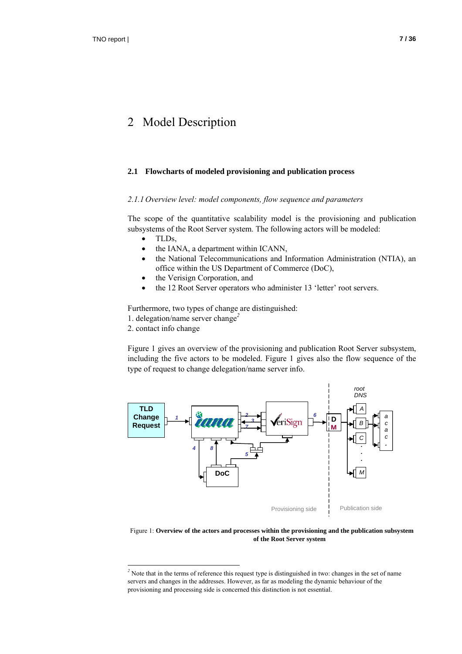### 2 Model Description

#### **2.1 Flowcharts of modeled provisioning and publication process**

#### *2.1.1 Overview level: model components, flow sequence and parameters*

The scope of the quantitative scalability model is the provisioning and publication subsystems of the Root Server system. The following actors will be modeled:

- TLDs,
- the IANA, a department within ICANN,
- the National Telecommunications and Information Administration (NTIA), an office within the US Department of Commerce (DoC),
- the Verisign Corporation, and
- the 12 Root Server operators who administer 13 'letter' root servers.

Furthermore, two types of change are distinguished:

1. delegation/name server change*<sup>2</sup>*

2. contact info change

 $\overline{a}$ 

Figure 1 gives an overview of the provisioning and publication Root Server subsystem, including the five actors to be modeled. Figure 1 gives also the flow sequence of the type of request to change delegation/name server info.



Figure 1: **Overview of the actors and processes within the provisioning and the publication subsystem of the Root Server system**

<sup>&</sup>lt;sup>2</sup> Note that in the terms of reference this request type is distinguished in two: changes in the set of name servers and changes in the addresses. However, as far as modeling the dynamic behaviour of the provisioning and processing side is concerned this distinction is not essential.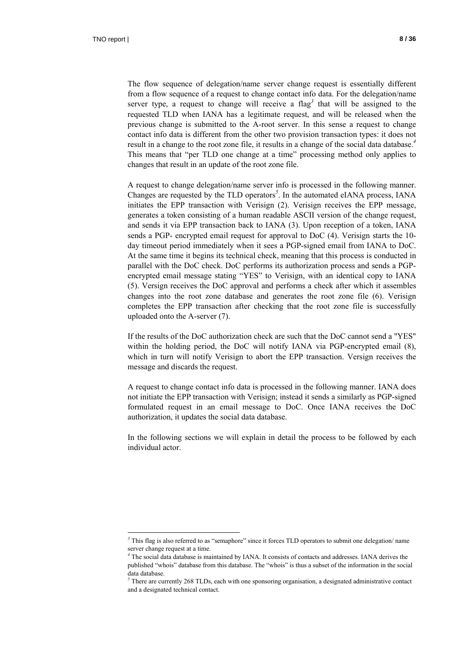$\overline{a}$ 

The flow sequence of delegation/name server change request is essentially different from a flow sequence of a request to change contact info data. For the delegation/name server type, a request to change will receive a flag<sup>3</sup> that will be assigned to the requested TLD when IANA has a legitimate request, and will be released when the previous change is submitted to the A-root server. In this sense a request to change contact info data is different from the other two provision transaction types: it does not result in a change to the root zone file, it results in a change of the social data database.*<sup>4</sup>* This means that "per TLD one change at a time" processing method only applies to changes that result in an update of the root zone file.

A request to change delegation/name server info is processed in the following manner. Changes are requested by the TLD operators*<sup>5</sup>* . In the automated eIANA process, IANA initiates the EPP transaction with Verisign (2). Verisign receives the EPP message, generates a token consisting of a human readable ASCII version of the change request, and sends it via EPP transaction back to IANA (3). Upon reception of a token, IANA sends a PGP- encrypted email request for approval to DoC (4). Verisign starts the 10 day timeout period immediately when it sees a PGP-signed email from IANA to DoC. At the same time it begins its technical check, meaning that this process is conducted in parallel with the DoC check. DoC performs its authorization process and sends a PGPencrypted email message stating "YES" to Verisign, with an identical copy to IANA (5). Versign receives the DoC approval and performs a check after which it assembles changes into the root zone database and generates the root zone file (6). Verisign completes the EPP transaction after checking that the root zone file is successfully uploaded onto the A-server (7).

If the results of the DoC authorization check are such that the DoC cannot send a "YES" within the holding period, the DoC will notify IANA via PGP-encrypted email (8), which in turn will notify Verisign to abort the EPP transaction. Versign receives the message and discards the request.

A request to change contact info data is processed in the following manner. IANA does not initiate the EPP transaction with Verisign; instead it sends a similarly as PGP-signed formulated request in an email message to DoC. Once IANA receives the DoC authorization, it updates the social data database.

In the following sections we will explain in detail the process to be followed by each individual actor.

<sup>&</sup>lt;sup>3</sup> This flag is also referred to as "semaphore" since it forces TLD operators to submit one delegation/ name server change request at a time.

<sup>&</sup>lt;sup>4</sup> The social data database is maintained by IANA. It consists of contacts and addresses. IANA derives the published "whois" database from this database. The "whois" is thus a subset of the information in the social data database.

 $<sup>5</sup>$  There are currently 268 TLDs, each with one sponsoring organisation, a designated administrative contact</sup> and a designated technical contact.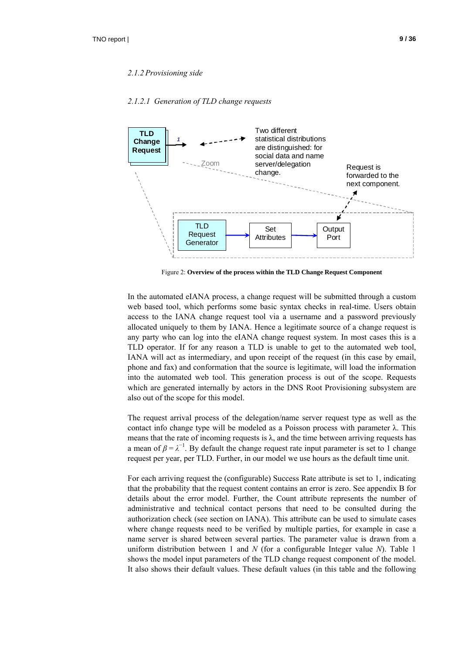#### *2.1.2.1 Generation of TLD change requests*



Figure 2: **Overview of the process within the TLD Change Request Component**

In the automated eIANA process, a change request will be submitted through a custom web based tool, which performs some basic syntax checks in real-time. Users obtain access to the IANA change request tool via a username and a password previously allocated uniquely to them by IANA. Hence a legitimate source of a change request is any party who can log into the eIANA change request system. In most cases this is a TLD operator. If for any reason a TLD is unable to get to the automated web tool, IANA will act as intermediary, and upon receipt of the request (in this case by email, phone and fax) and conformation that the source is legitimate, will load the information into the automated web tool. This generation process is out of the scope. Requests which are generated internally by actors in the DNS Root Provisioning subsystem are also out of the scope for this model.

The request arrival process of the delegation/name server request type as well as the contact info change type will be modeled as a Poisson process with parameter λ. This means that the rate of incoming requests is  $\lambda$ , and the time between arriving requests has a mean of  $\beta = \lambda^{-1}$ . By default the change request rate input parameter is set to 1 change request per year, per TLD. Further, in our model we use hours as the default time unit.

For each arriving request the (configurable) Success Rate attribute is set to 1, indicating that the probability that the request content contains an error is zero. See appendix B for details about the error model. Further, the Count attribute represents the number of administrative and technical contact persons that need to be consulted during the authorization check (see section on IANA). This attribute can be used to simulate cases where change requests need to be verified by multiple parties, for example in case a name server is shared between several parties. The parameter value is drawn from a uniform distribution between 1 and *N* (for a configurable Integer value *N*). Table 1 shows the model input parameters of the TLD change request component of the model. It also shows their default values. These default values (in this table and the following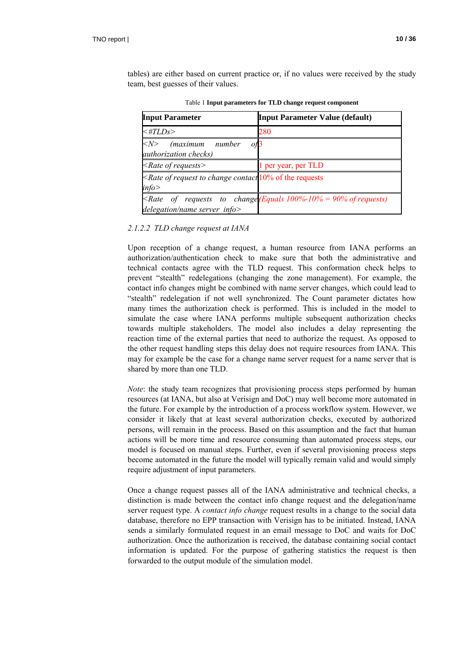| Table 1 Input parameters for TLD change request component                                       |                                                                         |  |
|-------------------------------------------------------------------------------------------------|-------------------------------------------------------------------------|--|
| <b>Input Parameter</b><br><b>Input Parameter Value (default)</b>                                |                                                                         |  |
| $\prec \# TLDs$                                                                                 | 280                                                                     |  |
| (maximum number<br>$<\!\!N\!\!>$<br>O <sup>13</sup><br><i>authorization checks</i> )            |                                                                         |  |
| $\langle$ Rate of requests $\rangle$                                                            | 1 per year, per TLD                                                     |  |
| <rate <math="" change="" contact="" of="" request="" to="">10\% of the requests<br/>info</rate> |                                                                         |  |
| delegation/name server info                                                                     | $\langle$ Rate of requests to change(Equals 100%-10% = 90% of requests) |  |

tables) are either based on current practice or, if no values were received by the study

#### *2.1.2.2 TLD change request at IANA*

team, best guesses of their values.

Upon reception of a change request, a human resource from IANA performs an authorization/authentication check to make sure that both the administrative and technical contacts agree with the TLD request. This conformation check helps to prevent "stealth" redelegations (changing the zone management). For example, the contact info changes might be combined with name server changes, which could lead to "stealth" redelegation if not well synchronized. The Count parameter dictates how many times the authorization check is performed. This is included in the model to simulate the case where IANA performs multiple subsequent authorization checks towards multiple stakeholders. The model also includes a delay representing the reaction time of the external parties that need to authorize the request. As opposed to the other request handling steps this delay does not require resources from IANA. This may for example be the case for a change name server request for a name server that is shared by more than one TLD.

*Note*: the study team recognizes that provisioning process steps performed by human resources (at IANA, but also at Verisign and DoC) may well become more automated in the future. For example by the introduction of a process workflow system. However, we consider it likely that at least several authorization checks, executed by authorized persons, will remain in the process. Based on this assumption and the fact that human actions will be more time and resource consuming than automated process steps, our model is focused on manual steps. Further, even if several provisioning process steps become automated in the future the model will typically remain valid and would simply require adjustment of input parameters.

Once a change request passes all of the IANA administrative and technical checks, a distinction is made between the contact info change request and the delegation/name server request type. A *contact info change* request results in a change to the social data database, therefore no EPP transaction with Verisign has to be initiated. Instead, IANA sends a similarly formulated request in an email message to DoC and waits for DoC authorization. Once the authorization is received, the database containing social contact information is updated. For the purpose of gathering statistics the request is then forwarded to the output module of the simulation model.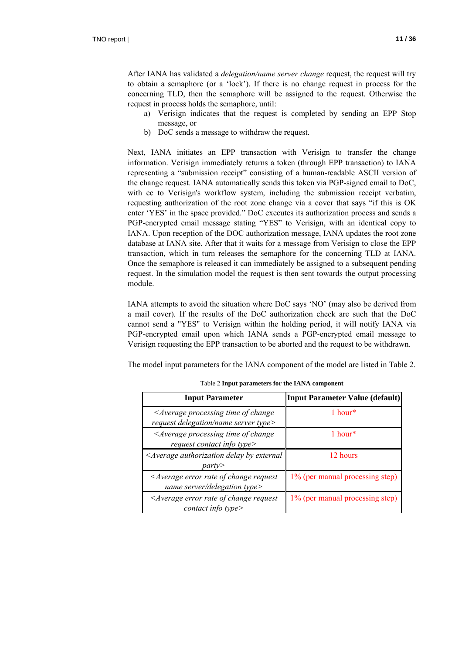After IANA has validated a *delegation/name server change* request, the request will try to obtain a semaphore (or a 'lock'). If there is no change request in process for the concerning TLD, then the semaphore will be assigned to the request. Otherwise the request in process holds the semaphore, until:

- a) Verisign indicates that the request is completed by sending an EPP Stop message, or
- b) DoC sends a message to withdraw the request.

Next, IANA initiates an EPP transaction with Verisign to transfer the change information. Verisign immediately returns a token (through EPP transaction) to IANA representing a "submission receipt" consisting of a human-readable ASCII version of the change request. IANA automatically sends this token via PGP-signed email to DoC, with cc to Verisign's workflow system, including the submission receipt verbatim, requesting authorization of the root zone change via a cover that says "if this is OK enter 'YES' in the space provided." DoC executes its authorization process and sends a PGP-encrypted email message stating "YES" to Verisign, with an identical copy to IANA. Upon reception of the DOC authorization message, IANA updates the root zone database at IANA site. After that it waits for a message from Verisign to close the EPP transaction, which in turn releases the semaphore for the concerning TLD at IANA. Once the semaphore is released it can immediately be assigned to a subsequent pending request. In the simulation model the request is then sent towards the output processing module.

IANA attempts to avoid the situation where DoC says 'NO' (may also be derived from a mail cover). If the results of the DoC authorization check are such that the DoC cannot send a "YES" to Verisign within the holding period, it will notify IANA via PGP-encrypted email upon which IANA sends a PGP-encrypted email message to Verisign requesting the EPP transaction to be aborted and the request to be withdrawn.

The model input parameters for the IANA component of the model are listed in Table 2.

| <b>Input Parameter</b>                                                                              | <b>Input Parameter Value (default)</b> |
|-----------------------------------------------------------------------------------------------------|----------------------------------------|
| <average change<br="" of="" processing="" time="">request delegation/name server type&gt;</average> | $1$ hour*                              |
| <average change<br="" of="" processing="" time="">request contact info type&gt;</average>           | $1$ hour*                              |
| <average authorization="" by="" delay="" external<br="">partv</average>                             | 12 hours                               |
| <average change="" error="" of="" rate="" request<br="">name server/delegation type&gt;</average>   | 1% (per manual processing step)        |
| $\leq$ Average error rate of change request<br>contact info type $>$                                | 1% (per manual processing step)        |

Table 2 **Input parameters for the IANA component**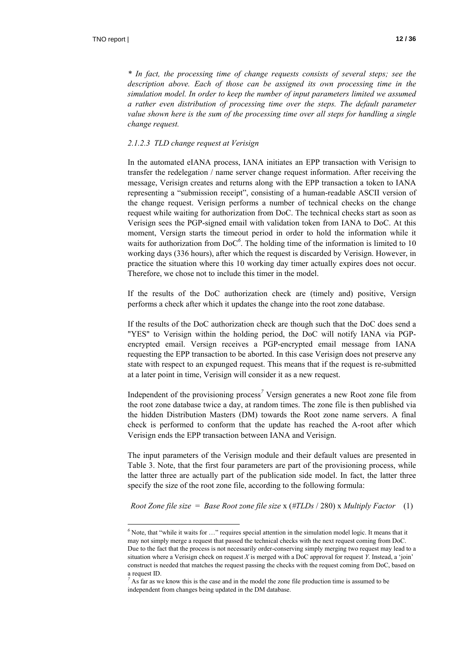$\overline{a}$ 

*\* In fact, the processing time of change requests consists of several steps; see the*  description above. Each of those can be assigned its own processing time in the *simulation model. In order to keep the number of input parameters limited we assumed a rather even distribution of processing time over the steps. The default parameter value shown here is the sum of the processing time over all steps for handling a single change request.* 

#### *2.1.2.3 TLD change request at Verisign*

In the automated eIANA process, IANA initiates an EPP transaction with Verisign to transfer the redelegation / name server change request information. After receiving the message, Verisign creates and returns along with the EPP transaction a token to IANA representing a "submission receipt", consisting of a human-readable ASCII version of the change request. Verisign performs a number of technical checks on the change request while waiting for authorization from DoC. The technical checks start as soon as Verisign sees the PGP-signed email with validation token from IANA to DoC. At this moment, Versign starts the timeout period in order to hold the information while it waits for authorization from DoC<sup>6</sup>. The holding time of the information is limited to 10 working days (336 hours), after which the request is discarded by Verisign. However, in practice the situation where this 10 working day timer actually expires does not occur. Therefore, we chose not to include this timer in the model.

If the results of the DoC authorization check are (timely and) positive, Versign performs a check after which it updates the change into the root zone database.

If the results of the DoC authorization check are though such that the DoC does send a "YES" to Verisign within the holding period, the DoC will notify IANA via PGPencrypted email. Versign receives a PGP-encrypted email message from IANA requesting the EPP transaction to be aborted. In this case Verisign does not preserve any state with respect to an expunged request. This means that if the request is re-submitted at a later point in time, Verisign will consider it as a new request.

Independent of the provisioning process*<sup>7</sup>* Versign generates a new Root zone file from the root zone database twice a day, at random times. The zone file is then published via the hidden Distribution Masters (DM) towards the Root zone name servers. A final check is performed to conform that the update has reached the A-root after which Verisign ends the EPP transaction between IANA and Verisign.

The input parameters of the Verisign module and their default values are presented in Table 3. Note, that the first four parameters are part of the provisioning process, while the latter three are actually part of the publication side model. In fact, the latter three specify the size of the root zone file, according to the following formula:

*Root Zone file size* = *Base Root zone file size* x (*#TLDs* / 280) x *Multiply Factor* (1)

 $<sup>6</sup>$  Note, that "while it waits for  $\dots$ " requires special attention in the simulation model logic. It means that it</sup> may not simply merge a request that passed the technical checks with the next request coming from DoC. Due to the fact that the process is not necessarily order-conserving simply merging two request may lead to a situation where a Verisign check on request *X* is merged with a DoC approval for request *Y*. Instead, a 'join' construct is needed that matches the request passing the checks with the request coming from DoC, based on a request ID.

<sup>&</sup>lt;sup>7</sup> As far as we know this is the case and in the model the zone file production time is assumed to be independent from changes being updated in the DM database.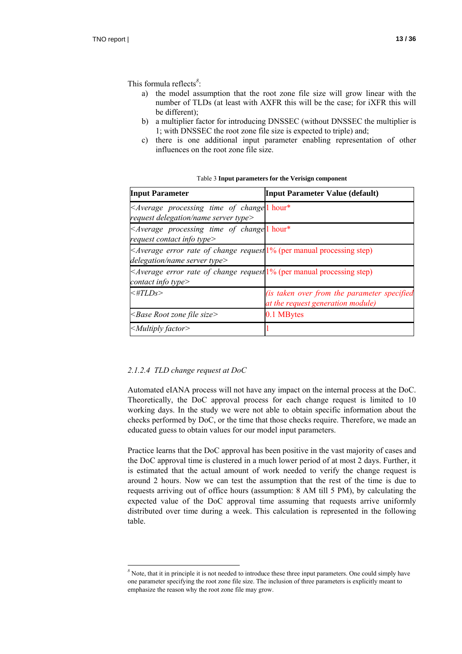This formula reflects*<sup>8</sup>* :

- a) the model assumption that the root zone file size will grow linear with the number of TLDs (at least with AXFR this will be the case; for iXFR this will be different);
- b) a multiplier factor for introducing DNSSEC (without DNSSEC the multiplier is 1; with DNSSEC the root zone file size is expected to triple) and;
- c) there is one additional input parameter enabling representation of other influences on the root zone file size.

| <b>Input Parameter</b>                                                                                             | <b>Input Parameter Value (default)</b>                                           |
|--------------------------------------------------------------------------------------------------------------------|----------------------------------------------------------------------------------|
| <average change<sup="" of="" processing="" time="">[1] hour*<br/>request delegation/name server type&gt;</average> |                                                                                  |
| $\leq$ Average processing time of change <sup>l</sup> hour*<br>request contact info type>                          |                                                                                  |
| $\leq$ Average error rate of change request $1\%$ (per manual processing step)<br>delegation/name server type>     |                                                                                  |
| $\leq$ Average error rate of change request $1\%$ (per manual processing step)<br>contact info type>               |                                                                                  |
| $\lt$ #TLDs>                                                                                                       | (is taken over from the parameter specified<br>at the request generation module) |
| $\leq$ Base Root zone file size $>$                                                                                | 0.1 MBytes                                                                       |
| $\leq$ Multiply factor $\geq$                                                                                      |                                                                                  |

Table 3 **Input parameters for the Verisign component**

#### *2.1.2.4 TLD change request at DoC*

 $\overline{a}$ 

Automated eIANA process will not have any impact on the internal process at the DoC. Theoretically, the DoC approval process for each change request is limited to 10 working days. In the study we were not able to obtain specific information about the checks performed by DoC, or the time that those checks require. Therefore, we made an educated guess to obtain values for our model input parameters.

Practice learns that the DoC approval has been positive in the vast majority of cases and the DoC approval time is clustered in a much lower period of at most 2 days. Further, it is estimated that the actual amount of work needed to verify the change request is around 2 hours. Now we can test the assumption that the rest of the time is due to requests arriving out of office hours (assumption: 8 AM till 5 PM), by calculating the expected value of the DoC approval time assuming that requests arrive uniformly distributed over time during a week. This calculation is represented in the following table.

<sup>&</sup>lt;sup>8</sup> Note, that it in principle it is not needed to introduce these three input parameters. One could simply have one parameter specifying the root zone file size. The inclusion of three parameters is explicitly meant to emphasize the reason why the root zone file may grow.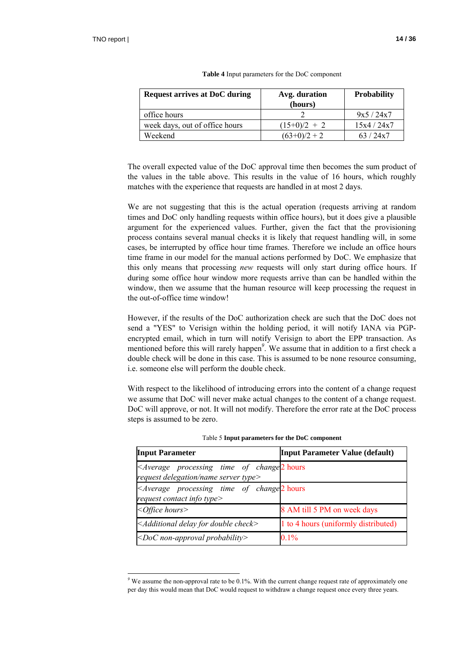$\overline{a}$ 

| <b>Request arrives at DoC during</b> | Avg. duration<br>(hours) | <b>Probability</b> |
|--------------------------------------|--------------------------|--------------------|
| office hours                         |                          | 9x5/24x7           |
| week days, out of office hours       | $(15+0)/2 + 2$           | 15x4/24x7          |
| Weekend                              | $(63+0)/2 + 2$           | 63/24x7            |

| Table 4 Input parameters for the DoC component |  |  |  |
|------------------------------------------------|--|--|--|
|------------------------------------------------|--|--|--|

The overall expected value of the DoC approval time then becomes the sum product of the values in the table above. This results in the value of 16 hours, which roughly matches with the experience that requests are handled in at most 2 days.

We are not suggesting that this is the actual operation (requests arriving at random times and DoC only handling requests within office hours), but it does give a plausible argument for the experienced values. Further, given the fact that the provisioning process contains several manual checks it is likely that request handling will, in some cases, be interrupted by office hour time frames. Therefore we include an office hours time frame in our model for the manual actions performed by DoC. We emphasize that this only means that processing *new* requests will only start during office hours. If during some office hour window more requests arrive than can be handled within the window, then we assume that the human resource will keep processing the request in the out-of-office time window!

However, if the results of the DoC authorization check are such that the DoC does not send a "YES" to Verisign within the holding period, it will notify IANA via PGPencrypted email, which in turn will notify Verisign to abort the EPP transaction. As mentioned before this will rarely happen*<sup>9</sup>* . We assume that in addition to a first check a double check will be done in this case. This is assumed to be none resource consuming, i.e. someone else will perform the double check.

With respect to the likelihood of introducing errors into the content of a change request we assume that DoC will never make actual changes to the content of a change request. DoC will approve, or not. It will not modify. Therefore the error rate at the DoC process steps is assumed to be zero.

| <b>Input Parameter</b>                                                                                           | <b>Input Parameter Value (default)</b> |  |
|------------------------------------------------------------------------------------------------------------------|----------------------------------------|--|
| <average change<sup="" of="" processing="" time="">2 hours<br/>request delegation/name server type&gt;</average> |                                        |  |
| <average change<sup="" of="" processing="" time="">2 hours<br/>request contact info type&gt;</average>           |                                        |  |
| $<$ Office hours $>$                                                                                             | 8 AM till 5 PM on week days            |  |
| $\leq$ Additional delay for double check $>$                                                                     | 1 to 4 hours (uniformly distributed)   |  |
| $\leq$ DoC non-approval probability>                                                                             | 0.1%                                   |  |

Table 5 **Input parameters for the DoC component**

<sup>&</sup>lt;sup>9</sup> We assume the non-approval rate to be  $0.1\%$ . With the current change request rate of approximately one per day this would mean that DoC would request to withdraw a change request once every three years.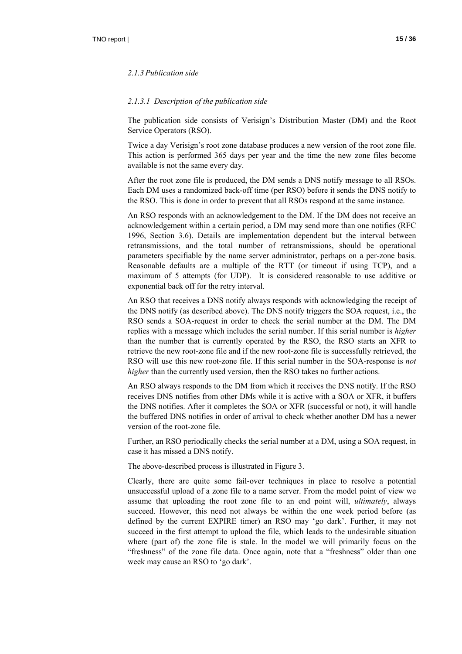#### *2.1.3 Publication side*

#### *2.1.3.1 Description of the publication side*

The publication side consists of Verisign's Distribution Master (DM) and the Root Service Operators (RSO).

Twice a day Verisign's root zone database produces a new version of the root zone file. This action is performed 365 days per year and the time the new zone files become available is not the same every day.

After the root zone file is produced, the DM sends a DNS notify message to all RSOs. Each DM uses a randomized back-off time (per RSO) before it sends the DNS notify to the RSO. This is done in order to prevent that all RSOs respond at the same instance.

An RSO responds with an acknowledgement to the DM. If the DM does not receive an acknowledgement within a certain period, a DM may send more than one notifies (RFC 1996, Section 3.6). Details are implementation dependent but the interval between retransmissions, and the total number of retransmissions, should be operational parameters specifiable by the name server administrator, perhaps on a per-zone basis. Reasonable defaults are a multiple of the RTT (or timeout if using TCP), and a maximum of 5 attempts (for UDP). It is considered reasonable to use additive or exponential back off for the retry interval.

An RSO that receives a DNS notify always responds with acknowledging the receipt of the DNS notify (as described above). The DNS notify triggers the SOA request, i.e., the RSO sends a SOA-request in order to check the serial number at the DM. The DM replies with a message which includes the serial number. If this serial number is *higher* than the number that is currently operated by the RSO, the RSO starts an XFR to retrieve the new root-zone file and if the new root-zone file is successfully retrieved, the RSO will use this new root-zone file. If this serial number in the SOA-response is *not higher* than the currently used version, then the RSO takes no further actions.

An RSO always responds to the DM from which it receives the DNS notify. If the RSO receives DNS notifies from other DMs while it is active with a SOA or XFR, it buffers the DNS notifies. After it completes the SOA or XFR (successful or not), it will handle the buffered DNS notifies in order of arrival to check whether another DM has a newer version of the root-zone file.

Further, an RSO periodically checks the serial number at a DM, using a SOA request, in case it has missed a DNS notify.

The above-described process is illustrated in Figure 3.

Clearly, there are quite some fail-over techniques in place to resolve a potential unsuccessful upload of a zone file to a name server. From the model point of view we assume that uploading the root zone file to an end point will, *ultimately*, always succeed. However, this need not always be within the one week period before (as defined by the current EXPIRE timer) an RSO may 'go dark'. Further, it may not succeed in the first attempt to upload the file, which leads to the undesirable situation where (part of) the zone file is stale. In the model we will primarily focus on the "freshness" of the zone file data. Once again, note that a "freshness" older than one week may cause an RSO to 'go dark'.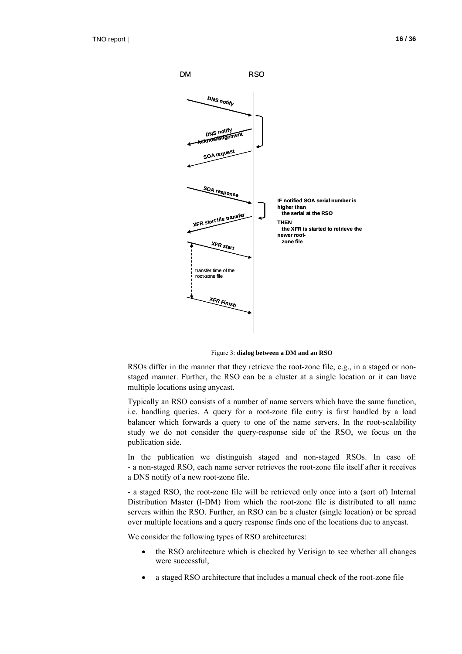

Figure 3: **dialog between a DM and an RSO**

RSOs differ in the manner that they retrieve the root-zone file, e.g., in a staged or nonstaged manner. Further, the RSO can be a cluster at a single location or it can have multiple locations using anycast.

Typically an RSO consists of a number of name servers which have the same function, i.e. handling queries. A query for a root-zone file entry is first handled by a load balancer which forwards a query to one of the name servers. In the root-scalability study we do not consider the query-response side of the RSO, we focus on the publication side.

In the publication we distinguish staged and non-staged RSOs. In case of: - a non-staged RSO, each name server retrieves the root-zone file itself after it receives a DNS notify of a new root-zone file.

- a staged RSO, the root-zone file will be retrieved only once into a (sort of) Internal Distribution Master (I-DM) from which the root-zone file is distributed to all name servers within the RSO. Further, an RSO can be a cluster (single location) or be spread over multiple locations and a query response finds one of the locations due to anycast.

We consider the following types of RSO architectures:

- the RSO architecture which is checked by Verisign to see whether all changes were successful,
- a staged RSO architecture that includes a manual check of the root-zone file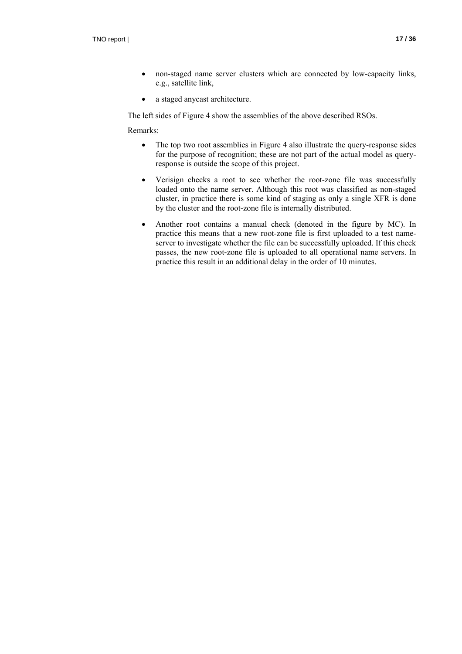- non-staged name server clusters which are connected by low-capacity links, e.g., satellite link,
- a staged anycast architecture.

The left sides of Figure 4 show the assemblies of the above described RSOs.

#### Remarks:

- The top two root assemblies in Figure 4 also illustrate the query-response sides for the purpose of recognition; these are not part of the actual model as queryresponse is outside the scope of this project.
- Verisign checks a root to see whether the root-zone file was successfully loaded onto the name server. Although this root was classified as non-staged cluster, in practice there is some kind of staging as only a single XFR is done by the cluster and the root-zone file is internally distributed.
- Another root contains a manual check (denoted in the figure by MC). In practice this means that a new root-zone file is first uploaded to a test nameserver to investigate whether the file can be successfully uploaded. If this check passes, the new root-zone file is uploaded to all operational name servers. In practice this result in an additional delay in the order of 10 minutes.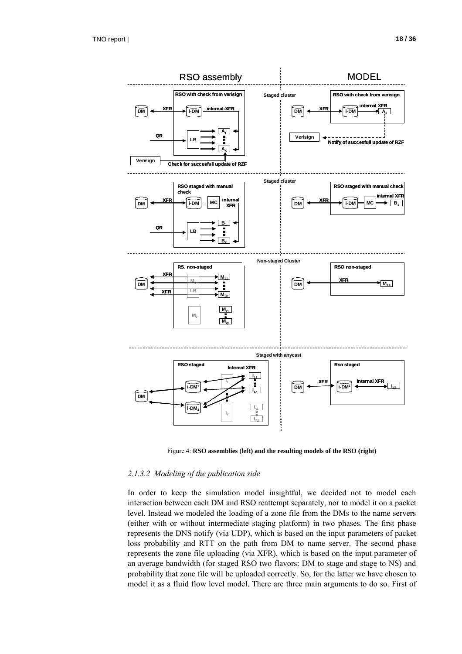

Figure 4: **RSO assemblies (left) and the resulting models of the RSO (right)**

#### *2.1.3.2 Modeling of the publication side*

In order to keep the simulation model insightful, we decided not to model each interaction between each DM and RSO reattempt separately, nor to model it on a packet level. Instead we modeled the loading of a zone file from the DMs to the name servers (either with or without intermediate staging platform) in two phases. The first phase represents the DNS notify (via UDP), which is based on the input parameters of packet loss probability and RTT on the path from DM to name server. The second phase represents the zone file uploading (via XFR), which is based on the input parameter of an average bandwidth (for staged RSO two flavors: DM to stage and stage to NS) and probability that zone file will be uploaded correctly. So, for the latter we have chosen to model it as a fluid flow level model. There are three main arguments to do so. First of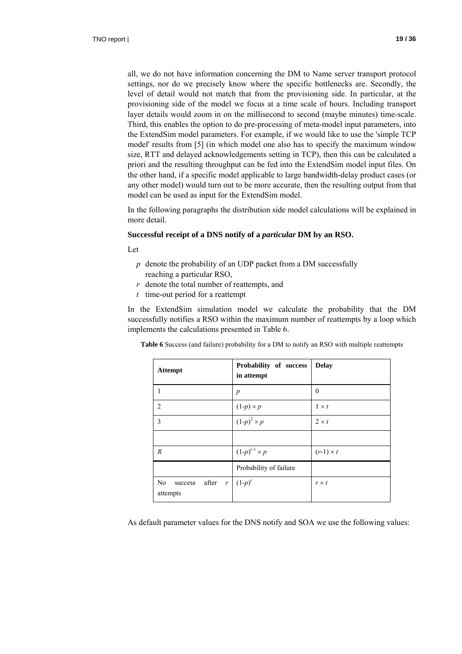all, we do not have information concerning the DM to Name server transport protocol settings, nor do we precisely know where the specific bottlenecks are. Secondly, the level of detail would not match that from the provisioning side. In particular, at the provisioning side of the model we focus at a time scale of hours. Including transport layer details would zoom in on the millisecond to second (maybe minutes) time-scale. Third, this enables the option to do pre-processing of meta-model input parameters, into the ExtendSim model parameters. For example, if we would like to use the 'simple TCP model' results from [5] (in which model one also has to specify the maximum window size, RTT and delayed acknowledgements setting in TCP), then this can be calculated a priori and the resulting throughput can be fed into the ExtendSim model input files. On the other hand, if a specific model applicable to large bandwidth-delay product cases (or any other model) would turn out to be more accurate, then the resulting output from that model can be used as input for the ExtendSim model.

In the following paragraphs the distribution side model calculations will be explained in more detail.

#### **Successful receipt of a DNS notify of a** *particular* **DM by an RSO.**

Let

- *p* denote the probability of an UDP packet from a DM successfully reaching a particular RSO,
- *r* denote the total number of reattempts, and
- *t* time-out period for a reattempt

In the ExtendSim simulation model we calculate the probability that the DM successfully notifies a RSO within the maximum number of reattempts by a loop which implements the calculations presented in Table 6.

**Table 6** Success (and failure) probability for a DM to notify an RSO with multiple reattempts

| <b>Attempt</b>                         | Probability of success<br>in attempt | <b>Delay</b>     |
|----------------------------------------|--------------------------------------|------------------|
| 1                                      | $\boldsymbol{p}$                     | $\Omega$         |
| $\overline{2}$                         | $(1-p) \times p$                     | $1 \times t$     |
| 3                                      | $(1-p)^2 \times p$                   | $2 \times t$     |
|                                        |                                      |                  |
| $\boldsymbol{R}$                       | $(1-p)^{r-1} \times p$               | $(r-1) \times t$ |
|                                        | Probability of failure               |                  |
| No<br>after $r$<br>success<br>attempts | $(1-p)^{r}$                          | $r \times t$     |

As default parameter values for the DNS notify and SOA we use the following values: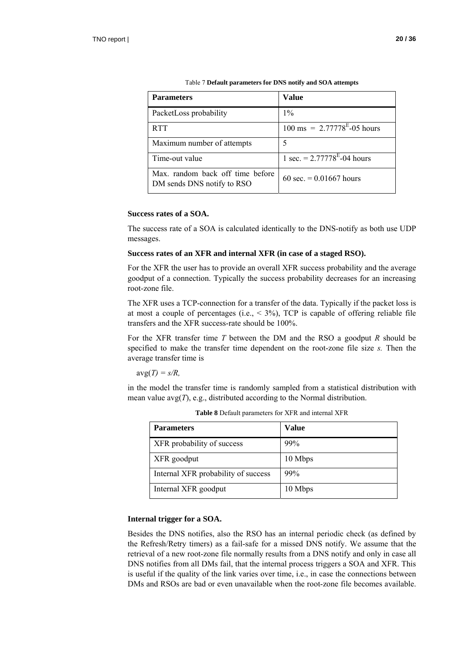| <b>Parameters</b>                                              | Value                                                     |
|----------------------------------------------------------------|-----------------------------------------------------------|
| PacketLoss probability                                         | $1\%$                                                     |
| <b>RTT</b>                                                     | $100 \text{ ms} = 2.77778^{\text{E}} - 0.5 \text{ hours}$ |
| Maximum number of attempts                                     | 5                                                         |
| Time-out value                                                 | 1 sec. = $2.77778^{E}$ -04 hours                          |
| Max. random back off time before<br>DM sends DNS notify to RSO | 60 sec. $= 0.01667$ hours                                 |

Table 7 **Default parameters for DNS notify and SOA attempts** 

#### **Success rates of a SOA.**

The success rate of a SOA is calculated identically to the DNS-notify as both use UDP messages.

#### **Success rates of an XFR and internal XFR (in case of a staged RSO).**

For the XFR the user has to provide an overall XFR success probability and the average goodput of a connection. Typically the success probability decreases for an increasing root-zone file.

The XFR uses a TCP-connection for a transfer of the data. Typically if the packet loss is at most a couple of percentages (i.e.,  $\leq$  3%), TCP is capable of offering reliable file transfers and the XFR success-rate should be 100%.

For the XFR transfer time *T* between the DM and the RSO a goodput *R* should be specified to make the transfer time dependent on the root-zone file size *s.* Then the average transfer time is

 $avg(T) = s/R$ 

in the model the transfer time is randomly sampled from a statistical distribution with mean value avg(*T*), e.g., distributed according to the Normal distribution.

| <b>Parameters</b>                   | Value   |
|-------------------------------------|---------|
| XFR probability of success          | 99%     |
| XFR goodput                         | 10 Mbps |
| Internal XFR probability of success | 99%     |
| Internal XFR goodput                | 10 Mbps |

**Table 8** Default parameters for XFR and internal XFR

#### **Internal trigger for a SOA.**

Besides the DNS notifies, also the RSO has an internal periodic check (as defined by the Refresh/Retry timers) as a fail-safe for a missed DNS notify. We assume that the retrieval of a new root-zone file normally results from a DNS notify and only in case all DNS notifies from all DMs fail, that the internal process triggers a SOA and XFR. This is useful if the quality of the link varies over time, i.e., in case the connections between DMs and RSOs are bad or even unavailable when the root-zone file becomes available.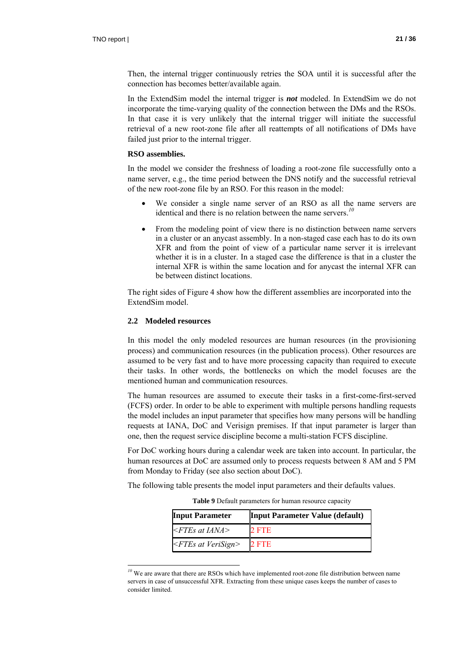Then, the internal trigger continuously retries the SOA until it is successful after the connection has becomes better/available again.

In the ExtendSim model the internal trigger is *not* modeled. In ExtendSim we do not incorporate the time-varying quality of the connection between the DMs and the RSOs. In that case it is very unlikely that the internal trigger will initiate the successful retrieval of a new root-zone file after all reattempts of all notifications of DMs have failed just prior to the internal trigger.

#### **RSO assemblies.**

In the model we consider the freshness of loading a root-zone file successfully onto a name server, e.g., the time period between the DNS notify and the successful retrieval of the new root-zone file by an RSO. For this reason in the model:

- We consider a single name server of an RSO as all the name servers are identical and there is no relation between the name servers.*<sup>10</sup>*
- From the modeling point of view there is no distinction between name servers in a cluster or an anycast assembly. In a non-staged case each has to do its own XFR and from the point of view of a particular name server it is irrelevant whether it is in a cluster. In a staged case the difference is that in a cluster the internal XFR is within the same location and for anycast the internal XFR can be between distinct locations.

The right sides of Figure 4 show how the different assemblies are incorporated into the ExtendSim model.

#### **2.2 Modeled resources**

 $\overline{a}$ 

In this model the only modeled resources are human resources (in the provisioning process) and communication resources (in the publication process). Other resources are assumed to be very fast and to have more processing capacity than required to execute their tasks. In other words, the bottlenecks on which the model focuses are the mentioned human and communication resources.

The human resources are assumed to execute their tasks in a first-come-first-served (FCFS) order. In order to be able to experiment with multiple persons handling requests the model includes an input parameter that specifies how many persons will be handling requests at IANA, DoC and Verisign premises. If that input parameter is larger than one, then the request service discipline become a multi-station FCFS discipline.

For DoC working hours during a calendar week are taken into account. In particular, the human resources at DoC are assumed only to process requests between 8 AM and 5 PM from Monday to Friday (see also section about DoC).

The following table presents the model input parameters and their defaults values.

**Table 9** Default parameters for human resource capacity

| <b>Input Parameter</b>   | <b>Input Parameter Value (default)</b> |
|--------------------------|----------------------------------------|
| $\leq$ FTEs at IANA>     | 2 FTE                                  |
| $\leq$ FTEs at VeriSign> | 2 FTE                                  |

<sup>&</sup>lt;sup>10</sup> We are aware that there are RSOs which have implemented root-zone file distribution between name servers in case of unsuccessful XFR. Extracting from these unique cases keeps the number of cases to consider limited.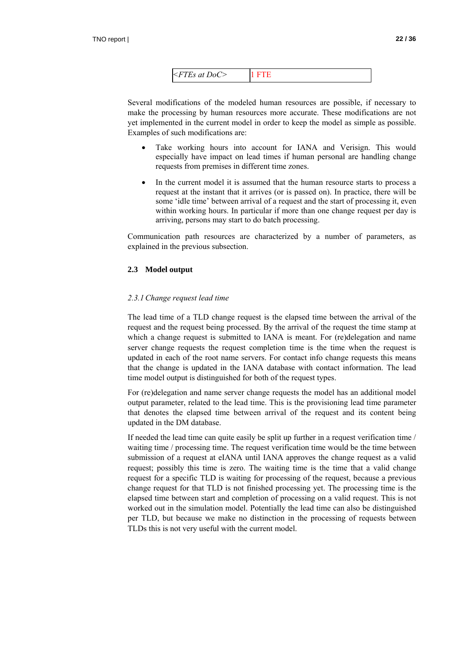| $\leq$ FTEs at DoC> |  |
|---------------------|--|
|                     |  |

Several modifications of the modeled human resources are possible, if necessary to make the processing by human resources more accurate. These modifications are not yet implemented in the current model in order to keep the model as simple as possible. Examples of such modifications are:

- Take working hours into account for IANA and Verisign. This would especially have impact on lead times if human personal are handling change requests from premises in different time zones.
- In the current model it is assumed that the human resource starts to process a request at the instant that it arrives (or is passed on). In practice, there will be some 'idle time' between arrival of a request and the start of processing it, even within working hours. In particular if more than one change request per day is arriving, persons may start to do batch processing.

Communication path resources are characterized by a number of parameters, as explained in the previous subsection.

#### **2.3 Model output**

#### *2.3.1Change request lead time*

The lead time of a TLD change request is the elapsed time between the arrival of the request and the request being processed. By the arrival of the request the time stamp at which a change request is submitted to IANA is meant. For (re)delegation and name server change requests the request completion time is the time when the request is updated in each of the root name servers. For contact info change requests this means that the change is updated in the IANA database with contact information. The lead time model output is distinguished for both of the request types.

For (re)delegation and name server change requests the model has an additional model output parameter, related to the lead time. This is the provisioning lead time parameter that denotes the elapsed time between arrival of the request and its content being updated in the DM database.

If needed the lead time can quite easily be split up further in a request verification time / waiting time / processing time. The request verification time would be the time between submission of a request at eIANA until IANA approves the change request as a valid request; possibly this time is zero. The waiting time is the time that a valid change request for a specific TLD is waiting for processing of the request, because a previous change request for that TLD is not finished processing yet. The processing time is the elapsed time between start and completion of processing on a valid request. This is not worked out in the simulation model. Potentially the lead time can also be distinguished per TLD, but because we make no distinction in the processing of requests between TLDs this is not very useful with the current model.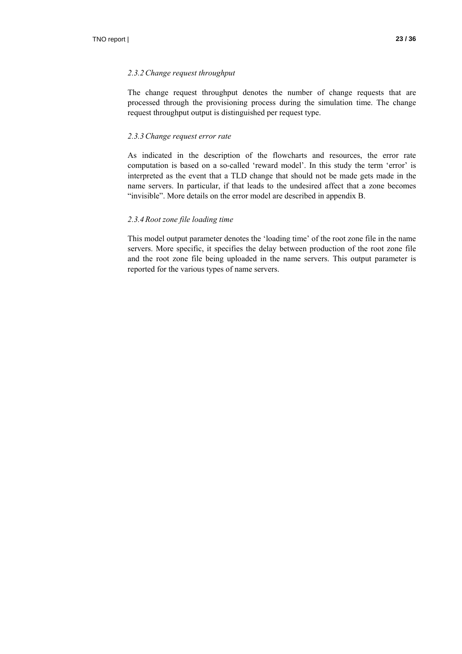#### *2.3.2Change request throughput*

The change request throughput denotes the number of change requests that are processed through the provisioning process during the simulation time. The change request throughput output is distinguished per request type.

#### *2.3.3Change request error rate*

As indicated in the description of the flowcharts and resources, the error rate computation is based on a so-called 'reward model'. In this study the term 'error' is interpreted as the event that a TLD change that should not be made gets made in the name servers. In particular, if that leads to the undesired affect that a zone becomes "invisible". More details on the error model are described in appendix B.

#### *2.3.4 Root zone file loading time*

This model output parameter denotes the 'loading time' of the root zone file in the name servers. More specific, it specifies the delay between production of the root zone file and the root zone file being uploaded in the name servers. This output parameter is reported for the various types of name servers.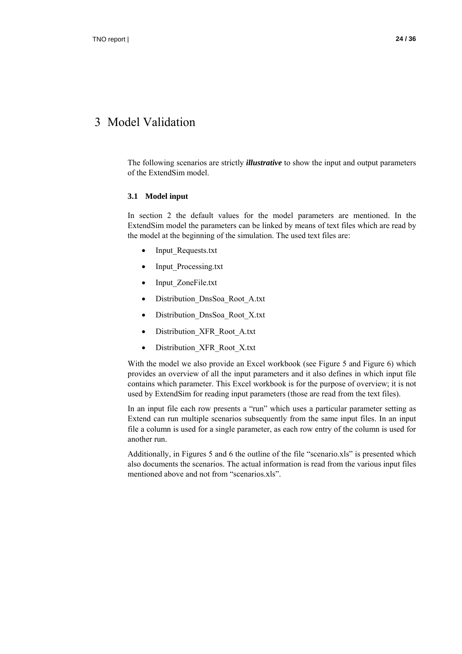### 3 Model Validation

The following scenarios are strictly *illustrative* to show the input and output parameters of the ExtendSim model.

#### **3.1 Model input**

In section 2 the default values for the model parameters are mentioned. In the ExtendSim model the parameters can be linked by means of text files which are read by the model at the beginning of the simulation. The used text files are:

- Input Requests.txt
- Input\_Processing.txt
- Input ZoneFile.txt
- Distribution\_DnsSoa\_Root\_A.txt
- Distribution\_DnsSoa\_Root\_X.txt
- Distribution\_XFR\_Root\_A.txt
- Distribution\_XFR\_Root\_X.txt

With the model we also provide an Excel workbook (see Figure 5 and Figure 6) which provides an overview of all the input parameters and it also defines in which input file contains which parameter. This Excel workbook is for the purpose of overview; it is not used by ExtendSim for reading input parameters (those are read from the text files).

In an input file each row presents a "run" which uses a particular parameter setting as Extend can run multiple scenarios subsequently from the same input files. In an input file a column is used for a single parameter, as each row entry of the column is used for another run.

Additionally, in Figures 5 and 6 the outline of the file "scenario.xls" is presented which also documents the scenarios. The actual information is read from the various input files mentioned above and not from "scenarios.xls".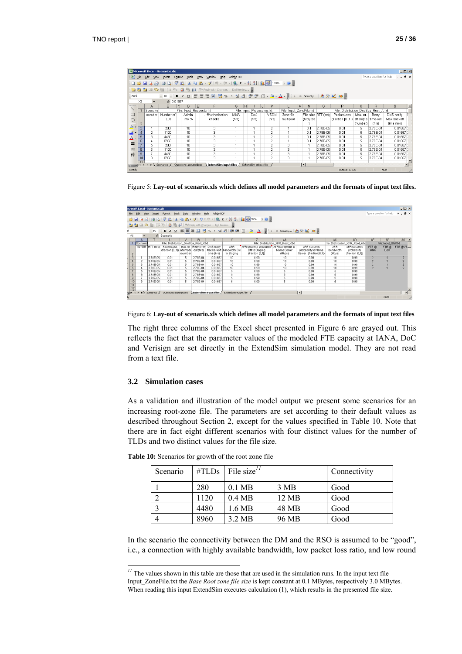|                  | $\Box$ D $\times$<br>Microsoft Excel - Scenarios.xls                                                                                                                                                                                                                                                                                                                                                                   |                                      |             |                              |      |                                                           |             |   |       |    |                |            |   |                                      |                     |                    |          |                          |                 |   |
|------------------|------------------------------------------------------------------------------------------------------------------------------------------------------------------------------------------------------------------------------------------------------------------------------------------------------------------------------------------------------------------------------------------------------------------------|--------------------------------------|-------------|------------------------------|------|-----------------------------------------------------------|-------------|---|-------|----|----------------|------------|---|--------------------------------------|---------------------|--------------------|----------|--------------------------|-----------------|---|
| 图 Ele            |                                                                                                                                                                                                                                                                                                                                                                                                                        | Edit<br>View                         | Insert      | Format<br>Tools              | Data | <b>Window</b><br>Help                                     | Adobe PDF   |   |       |    |                |            |   |                                      |                     |                    |          | Type a question for help | $   \times$ $-$ |   |
|                  | $\blacksquare \,\, \lrcorner\,\, \lrcorner\,\, \lrcorner\,\, \lrcorner\,\, \lrcorner\,\, \lrcorner\,\, \lrcorner\,\, \lrcorner\,\, \lrcorner\,\, \lrcorner\,\, \lrcorner\,\, \lrcorner\,\, \lrcorner\,\, \lrcorner\,\, \lrcorner\,\, \lrcorner\,\, \lrcorner\,\, \lrcorner\,\, \lrcorner\,\, \lrcorner\,\, \lrcorner\,\, \lrcorner\,\, \lrcorner\,\, \lrcorner\,\, \lrcorner\,\, \lrcorner\,\, \lrcorner$<br><b>DG</b> |                                      |             |                              |      |                                                           |             |   |       |    |                |            |   |                                      |                     |                    |          |                          |                 |   |
|                  | : 13 ココロロコントラ 13 The Deply with Changes End Review                                                                                                                                                                                                                                                                                                                                                                     |                                      |             |                              |      |                                                           |             |   |       |    |                |            |   |                                      |                     |                    |          |                          |                 |   |
|                  |                                                                                                                                                                                                                                                                                                                                                                                                                        |                                      |             |                              |      |                                                           |             |   |       |    |                |            |   |                                      |                     |                    |          |                          |                 |   |
|                  | ►│B7U│巨三三国│99%,協調│建建│田・③・A・』┆) ● Security…│ 名父 M│ ∞ 。<br>Arial<br>$-10$                                                                                                                                                                                                                                                                                                                                                |                                      |             |                              |      |                                                           |             |   |       |    |                |            |   |                                      |                     |                    |          |                          |                 |   |
|                  | X3                                                                                                                                                                                                                                                                                                                                                                                                                     |                                      | ₺ 0.01667   |                              |      |                                                           |             |   |       |    |                |            |   |                                      |                     |                    |          |                          |                 |   |
|                  |                                                                                                                                                                                                                                                                                                                                                                                                                        | A                                    | B.          | $\mathbb{C}$<br>$\mathsf{D}$ | E    |                                                           | G           | H |       | J. | ĸ              | ı.         | M | N                                    | $\Omega$            | P                  | Q        | R                        | s               | ∸ |
|                  |                                                                                                                                                                                                                                                                                                                                                                                                                        | Scenario<br>File: Input Requests.txt |             |                              |      | File: Input<br>Processing.txt<br>File: Input ZoneFile.txt |             |   |       |    |                |            |   | File: Distribution DnsSoa Root A.txt |                     |                    |          |                          |                 |   |
| $\Box$           |                                                                                                                                                                                                                                                                                                                                                                                                                        | number                               | Number of   | <b>Admin</b>                 |      | #Authorisation                                            | <b>JANA</b> |   | DoC.  |    | <b>VSGN</b>    | Zone file  |   |                                      | File size RTT (hrs) | PacketLoss         | Max. nr. | Retry                    | DNS notify      |   |
| $\circ$          |                                                                                                                                                                                                                                                                                                                                                                                                                        |                                      | <b>TLDs</b> | info %                       |      | checks                                                    | (hrs)       |   | (hrs) |    | (hrs)          | multiplier |   | (MBytes                              |                     | (fraction $[01]$ ) | attempts | time-out                 | Max backoff     |   |
|                  | $\overline{2}$                                                                                                                                                                                                                                                                                                                                                                                                         |                                      |             |                              |      |                                                           |             |   |       |    |                |            |   |                                      |                     |                    | (number) | (hrs)                    | time (hrs)      |   |
| $\mathfrak{D}$ . | $\overline{3}$                                                                                                                                                                                                                                                                                                                                                                                                         |                                      | 280         | 10 <sup>10</sup>             |      | 3                                                         |             |   |       |    | 2              |            |   | 0.1                                  | 2.78E-05            | 0.01               | 5        | 2.78E-04                 | 0.01667         |   |
| $\frac{1}{2}$    | $\boldsymbol{A}$                                                                                                                                                                                                                                                                                                                                                                                                       | $\mathfrak{D}$                       | 1120        | 10                           |      | t                                                         |             |   |       |    | $\overline{2}$ |            |   | 0.1                                  | 2.78E-05            | 0.01               | 5.       | 2.78E-04                 | 0.01667         |   |
| Δ.               | 5                                                                                                                                                                                                                                                                                                                                                                                                                      | 3                                    | 4480        | 10 <sup>1</sup>              |      | Ē                                                         |             |   |       |    | 2              |            |   | 0.1                                  | 2.78E-05            | 0.01               | 5        | 2.78E-04                 | 0.01667         |   |
|                  | $\overline{6}$                                                                                                                                                                                                                                                                                                                                                                                                         |                                      | 8960        | 10                           |      | t                                                         |             |   |       |    | $\overline{a}$ |            |   | 0.1                                  | 2.78E-05            | 0.01               | 5        | 2.78E-04                 | 0.01667         |   |
| $\equiv$         |                                                                                                                                                                                                                                                                                                                                                                                                                        | 5                                    | 280         | 10                           |      | g                                                         |             |   |       |    | $\overline{2}$ | 3          |   |                                      | 2.78E-05            | 0.01               | 5        | 2.78E-04                 | 0.01667         |   |
| 盡                | 8                                                                                                                                                                                                                                                                                                                                                                                                                      | 6                                    | 1120        | 10                           |      |                                                           |             |   |       |    | 2              | 3          |   |                                      | 2.78E-05            | 0.01               | 5        | 2.78E-04                 | 0.01667         |   |
| 芸                | 9                                                                                                                                                                                                                                                                                                                                                                                                                      | $\overline{\mathbf{z}}$              | 4480        | 10                           |      | 3                                                         |             |   |       |    | $\overline{2}$ | 3          |   |                                      | 2.78E-05            | 0.01               | 5.       | 2.78E-04                 | 0.01667         |   |
|                  | 10                                                                                                                                                                                                                                                                                                                                                                                                                     | 8                                    | 8960        | 10 <sup>1</sup>              |      | 3                                                         |             |   |       |    | 2              | 3          |   |                                      | 2.78E-05            | 0.01               | 5        | 2.78E-04                 | 0.01667         |   |
|                  |                                                                                                                                                                                                                                                                                                                                                                                                                        |                                      |             |                              |      |                                                           |             |   |       |    |                |            |   |                                      |                     |                    |          |                          |                 |   |
|                  | $\lceil \cdot \rceil$<br>Questions-assumptions<br>Extend5im output file<br>$\mathbf{E} = \mathbf{E} \mathbf{H} \mathbf{H} + \mathbf{H}$ Scenarios $\angle$<br>ExtendSim input files                                                                                                                                                                                                                                    |                                      |             |                              |      |                                                           |             |   |       |    |                |            |   |                                      |                     |                    |          |                          |                 |   |
| Ready            |                                                                                                                                                                                                                                                                                                                                                                                                                        |                                      |             |                              |      |                                                           |             |   |       |    |                |            |   |                                      |                     | Sum=0.13336        |          |                          | NLIM            |   |

Figure 5: **Lay-out of scenario.xls which defines all model parameters and the formats of input text files.**

|                 |          | <b>icrosoft Excel - Scenarios.xls</b> |                                                                                                |          |                  |              |                          |                                                                               |                                   |                         |            |                                |             |                          | $-10x$                          |
|-----------------|----------|---------------------------------------|------------------------------------------------------------------------------------------------|----------|------------------|--------------|--------------------------|-------------------------------------------------------------------------------|-----------------------------------|-------------------------|------------|--------------------------------|-------------|--------------------------|---------------------------------|
| File            | Edit     | Insert<br>View                        | Format<br>Tools                                                                                |          | Data Window Help | Adobe PDF    |                          |                                                                               |                                   |                         |            |                                |             | Type a question for help | $  \theta$ $\times$             |
|                 |          |                                       |                                                                                                |          |                  |              |                          | 8 H B 3 H & D ( C + X B B + 3 + 0 + 0 + 1 & C + 2 + 3 + 1 ( B O ) 9 + 0 + 0 + |                                   |                         |            |                                |             |                          |                                 |
|                 |          |                                       | 33 3 3 3 3 5 8 3 3 YV Reply with Changes End Review                                            |          |                  |              |                          |                                                                               |                                   |                         |            |                                |             |                          |                                 |
|                 |          |                                       |                                                                                                |          |                  |              |                          |                                                                               |                                   |                         |            |                                |             |                          |                                 |
|                 |          |                                       |                                                                                                |          |                  |              |                          |                                                                               |                                   |                         |            |                                |             |                          |                                 |
| A1              |          |                                       | & Scenario                                                                                     |          |                  |              |                          |                                                                               |                                   |                         |            |                                |             |                          |                                 |
|                 |          |                                       |                                                                                                |          | w                | $\mathbf{x}$ | v                        |                                                                               | AA                                | AB                      | AC         | AD.                            | AE          | AF                       | AG.<br>$\overline{\phantom{a}}$ |
|                 | Scenario |                                       | File: Distribution DnsSoa Root Xtd                                                             |          |                  |              |                          |                                                                               | File: Distribution J/FR_Root_X.bt |                         |            | ile: Distribution XFR Root Ate |             | File: Input_Staff.td     |                                 |
|                 |          | number RTT (hrs)                      | Packett oss                                                                                    | Max. nr. | Retry time-      | DNS notify   | <b>XFR</b>               | XFR success probability XFR bandwidth to                                      |                                   | XFR success             | <b>XFR</b> | XFR success                    | FTE @       | FTE @                    | $FTE @V8$ $-$                   |
|                 |          |                                       | (fraction (01)) attempts                                                                       |          | out (hrs)        |              | Max backoff bandwidth DM | DM to Staging                                                                 | Name Server                       | probability to Name     | bandwidth  | probability                    | <b>IANA</b> | <b>DoC</b>               |                                 |
|                 |          |                                       |                                                                                                | coumber  |                  | time (hrs)   | to Staging               | (fraction [0,1])                                                              | (Mbps)                            | Server (fraction [0,1]) | (Mbps)     | (fraction (0,1))               |             |                          |                                 |
|                 |          | 2.78E-05                              | 0.01                                                                                           |          | $2.70E - 04$     | 0.01667      | 10                       | 0.99                                                                          | 10                                | 0.99                    | 10         | 0.99                           |             |                          |                                 |
|                 |          | $2.78E-05$                            | 0.01                                                                                           |          | $2.78E-04$       | 0.01667      | 10                       | 0.99                                                                          | 10                                | 0.99                    | 10         | 0.99                           |             |                          |                                 |
|                 |          | 2.78E-05                              | 0.01                                                                                           |          | 2.78E-04         | 0.01667      | 10                       | 0.99                                                                          | 10                                | 0.99                    | 10         | 0.99                           |             |                          |                                 |
|                 |          | 2.78E-05                              | 0.01                                                                                           |          | $2.78E - 04$     | 0.01667      | 10                       | 0.99                                                                          | 10                                | 0.99                    | 10         | 0.99                           |             |                          |                                 |
|                 |          | 2.78E-05                              | 0.01                                                                                           |          | 2.78E-04         | 0.01667      |                          | 0.99                                                                          |                                   | 0.99                    |            | 0.99                           |             |                          |                                 |
|                 |          | $2.78E - 05$                          | 0.01                                                                                           |          | $2.78E - 04$     | 0.01667      |                          | 0.99                                                                          |                                   | 0.99                    |            | 0.99                           |             |                          |                                 |
|                 |          | 2.78E-05                              | 0.01                                                                                           |          | $2.78E - 04$     | 0.01667      |                          | 0.99                                                                          |                                   | 0.99                    |            | 0.99                           |             |                          |                                 |
| 10              |          | 2.786-05                              | 0.01                                                                                           | 5        | 2.70E-04         | 0.01667      | 5                        | 0.99                                                                          |                                   | 0.99                    | 5          | 0.99                           |             |                          |                                 |
| $\frac{11}{12}$ |          |                                       |                                                                                                |          |                  |              |                          |                                                                               |                                   |                         |            |                                |             |                          |                                 |
|                 |          |                                       |                                                                                                |          |                  |              |                          |                                                                               |                                   |                         |            |                                |             |                          |                                 |
|                 |          |                                       | UIN ( F H) Scenarios / Questions-assumptions between Sim input files / ExtendSim output file / |          |                  |              |                          |                                                                               |                                   | 1                       |            |                                |             |                          | $\mathbf{H}$                    |
|                 |          |                                       |                                                                                                |          |                  |              |                          |                                                                               |                                   |                         |            |                                |             | NUM <sub></sub>          |                                 |

Figure 6: **Lay-out of scenario.xls which defines all model parameters and the formats of input text files**

The right three columns of the Excel sheet presented in Figure 6 are grayed out. This reflects the fact that the parameter values of the modeled FTE capacity at IANA, DoC and Verisign are set directly in the ExtendSim simulation model. They are not read from a text file.

#### **3.2 Simulation cases**

 $\overline{a}$ 

As a validation and illustration of the model output we present some scenarios for an increasing root-zone file. The parameters are set according to their default values as described throughout Section 2, except for the values specified in Table 10. Note that there are in fact eight different scenarios with four distinct values for the number of TLDs and two distinct values for the file size.

| Scenario | $\#TLDs$ | File size <sup><math>11</math></sup> |       | Connectivity |
|----------|----------|--------------------------------------|-------|--------------|
|          | 280      | $0.1$ MB                             | 3 MB  | Good         |
|          | 1120     | $0.4 \text{ MB}$                     | 12 MB | Good         |
|          | 4480     | 1.6 MB                               | 48 MB | Good         |
|          | 8960     | 3.2 MB                               | 96 MB | Good         |

**Table 10:** Scenarios for growth of the root zone file

In the scenario the connectivity between the DM and the RSO is assumed to be "good", i.e., a connection with highly available bandwidth, low packet loss ratio, and low round

<sup>&</sup>lt;sup>11</sup> The values shown in this table are those that are used in the simulation runs. In the input text file Input\_ZoneFile.txt the *Base Root zone file size* is kept constant at 0.1 MBytes, respectively 3.0 MBytes. When reading this input ExtendSim executes calculation (1), which results in the presented file size.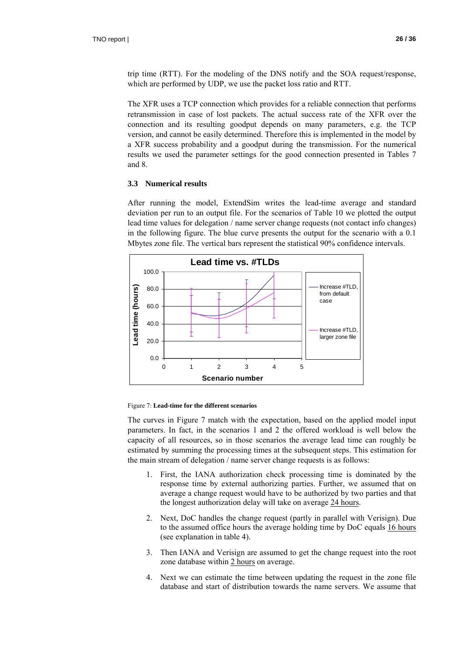trip time (RTT). For the modeling of the DNS notify and the SOA request/response, which are performed by UDP, we use the packet loss ratio and RTT.

The XFR uses a TCP connection which provides for a reliable connection that performs retransmission in case of lost packets. The actual success rate of the XFR over the connection and its resulting goodput depends on many parameters, e.g. the TCP version, and cannot be easily determined. Therefore this is implemented in the model by a XFR success probability and a goodput during the transmission. For the numerical results we used the parameter settings for the good connection presented in Tables 7 and 8.

#### **3.3 Numerical results**

After running the model, ExtendSim writes the lead-time average and standard deviation per run to an output file. For the scenarios of Table 10 we plotted the output lead time values for delegation / name server change requests (not contact info changes) in the following figure. The blue curve presents the output for the scenario with a 0.1 Mbytes zone file. The vertical bars represent the statistical 90% confidence intervals.



#### Figure 7: **Lead-time for the different scenarios**

The curves in Figure 7 match with the expectation, based on the applied model input parameters. In fact, in the scenarios 1 and 2 the offered workload is well below the capacity of all resources, so in those scenarios the average lead time can roughly be estimated by summing the processing times at the subsequent steps. This estimation for the main stream of delegation / name server change requests is as follows:

- 1. First, the IANA authorization check processing time is dominated by the response time by external authorizing parties. Further, we assumed that on average a change request would have to be authorized by two parties and that the longest authorization delay will take on average 24 hours.
- 2. Next, DoC handles the change request (partly in parallel with Verisign). Due to the assumed office hours the average holding time by DoC equals 16 hours (see explanation in table 4).
- 3. Then IANA and Verisign are assumed to get the change request into the root zone database within 2 hours on average.
- 4. Next we can estimate the time between updating the request in the zone file database and start of distribution towards the name servers. We assume that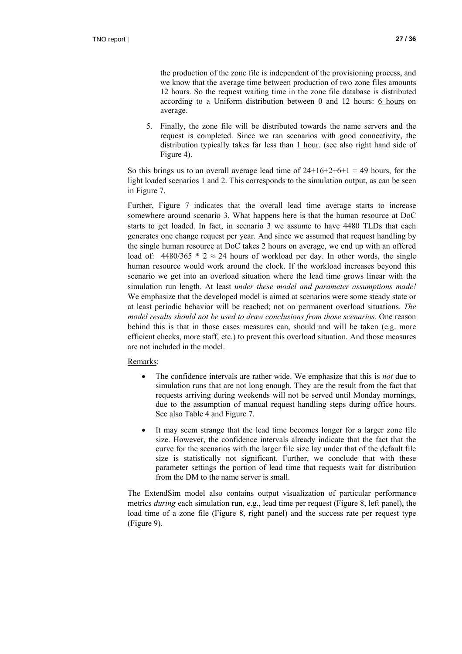the production of the zone file is independent of the provisioning process, and we know that the average time between production of two zone files amounts 12 hours. So the request waiting time in the zone file database is distributed according to a Uniform distribution between 0 and 12 hours: 6 hours on average.

5. Finally, the zone file will be distributed towards the name servers and the request is completed. Since we ran scenarios with good connectivity, the distribution typically takes far less than  $1$  hour. (see also right hand side of Figure 4).

So this brings us to an overall average lead time of  $24+16+2+6+1 = 49$  hours, for the light loaded scenarios 1 and 2. This corresponds to the simulation output, as can be seen in Figure 7.

Further, Figure 7 indicates that the overall lead time average starts to increase somewhere around scenario 3. What happens here is that the human resource at DoC starts to get loaded. In fact, in scenario 3 we assume to have 4480 TLDs that each generates one change request per year. And since we assumed that request handling by the single human resource at DoC takes 2 hours on average, we end up with an offered load of: 4480/365  $*$  2  $\approx$  24 hours of workload per day. In other words, the single human resource would work around the clock. If the workload increases beyond this scenario we get into an overload situation where the lead time grows linear with the simulation run length. At least *under these model and parameter assumptions made!*  We emphasize that the developed model is aimed at scenarios were some steady state or at least periodic behavior will be reached; not on permanent overload situations. *The model results should not be used to draw conclusions from those scenarios.* One reason behind this is that in those cases measures can, should and will be taken (e.g. more efficient checks, more staff, etc.) to prevent this overload situation. And those measures are not included in the model.

#### Remarks:

- The confidence intervals are rather wide. We emphasize that this is *not* due to simulation runs that are not long enough. They are the result from the fact that requests arriving during weekends will not be served until Monday mornings, due to the assumption of manual request handling steps during office hours. See also Table 4 and Figure 7.
- It may seem strange that the lead time becomes longer for a larger zone file size. However, the confidence intervals already indicate that the fact that the curve for the scenarios with the larger file size lay under that of the default file size is statistically not significant. Further, we conclude that with these parameter settings the portion of lead time that requests wait for distribution from the DM to the name server is small.

The ExtendSim model also contains output visualization of particular performance metrics *during* each simulation run, e.g., lead time per request (Figure 8, left panel), the load time of a zone file (Figure 8, right panel) and the success rate per request type (Figure 9).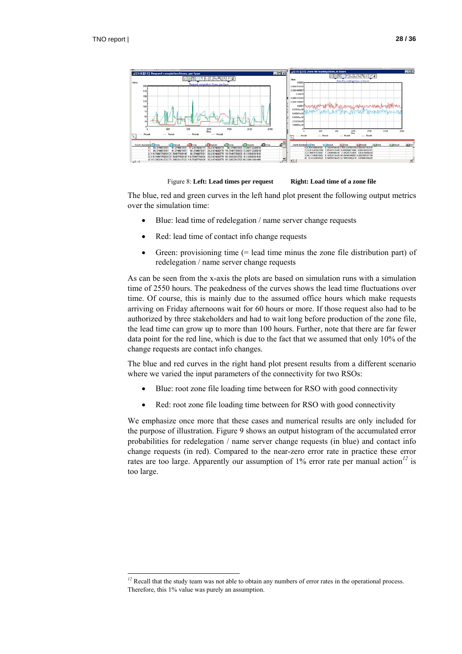$\overline{a}$ 



Figure 8: Left: Lead times per request Right: Load time of a zone file

The blue, red and green curves in the left hand plot present the following output metrics over the simulation time:

- Blue: lead time of redelegation / name server change requests
- Red: lead time of contact info change requests
- Green: provisioning time (= lead time minus the zone file distribution part) of redelegation / name server change requests

As can be seen from the x-axis the plots are based on simulation runs with a simulation time of 2550 hours. The peakedness of the curves shows the lead time fluctuations over time. Of course, this is mainly due to the assumed office hours which make requests arriving on Friday afternoons wait for 60 hours or more. If those request also had to be authorized by three stakeholders and had to wait long before production of the zone file, the lead time can grow up to more than 100 hours. Further, note that there are far fewer data point for the red line, which is due to the fact that we assumed that only 10% of the change requests are contact info changes.

The blue and red curves in the right hand plot present results from a different scenario where we varied the input parameters of the connectivity for two RSOs:

- Blue: root zone file loading time between for RSO with good connectivity
- Red: root zone file loading time between for RSO with good connectivity

We emphasize once more that these cases and numerical results are only included for the purpose of illustration. Figure 9 shows an output histogram of the accumulated error probabilities for redelegation / name server change requests (in blue) and contact info change requests (in red). Compared to the near-zero error rate in practice these error rates are too large. Apparently our assumption of 1% error rate per manual action*<sup>12</sup>* is too large.

<sup>&</sup>lt;sup>12</sup> Recall that the study team was not able to obtain any numbers of error rates in the operational process. Therefore, this 1% value was purely an assumption.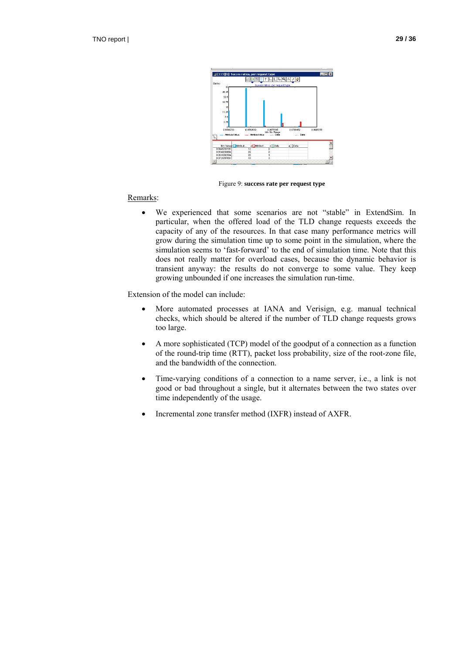

Figure 9: **success rate per request type**

#### Remarks:

• We experienced that some scenarios are not "stable" in ExtendSim. In particular, when the offered load of the TLD change requests exceeds the capacity of any of the resources. In that case many performance metrics will grow during the simulation time up to some point in the simulation, where the simulation seems to 'fast-forward' to the end of simulation time. Note that this does not really matter for overload cases, because the dynamic behavior is transient anyway: the results do not converge to some value. They keep growing unbounded if one increases the simulation run-time.

Extension of the model can include:

- More automated processes at IANA and Verisign, e.g. manual technical checks, which should be altered if the number of TLD change requests grows too large.
- A more sophisticated (TCP) model of the goodput of a connection as a function of the round-trip time (RTT), packet loss probability, size of the root-zone file, and the bandwidth of the connection.
- Time-varying conditions of a connection to a name server, i.e., a link is not good or bad throughout a single, but it alternates between the two states over time independently of the usage.
- Incremental zone transfer method (IXFR) instead of AXFR.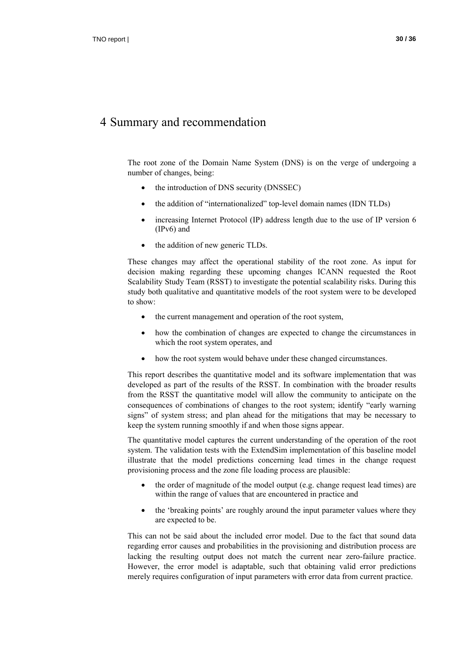### 4 Summary and recommendation

The root zone of the Domain Name System (DNS) is on the verge of undergoing a number of changes, being:

- the introduction of DNS security (DNSSEC)
- the addition of "internationalized" top-level domain names (IDN TLDs)
- increasing Internet Protocol (IP) address length due to the use of IP version 6 (IPv6) and
- the addition of new generic TLDs.

These changes may affect the operational stability of the root zone. As input for decision making regarding these upcoming changes ICANN requested the Root Scalability Study Team (RSST) to investigate the potential scalability risks. During this study both qualitative and quantitative models of the root system were to be developed to show:

- the current management and operation of the root system,
- how the combination of changes are expected to change the circumstances in which the root system operates, and
- how the root system would behave under these changed circumstances.

This report describes the quantitative model and its software implementation that was developed as part of the results of the RSST. In combination with the broader results from the RSST the quantitative model will allow the community to anticipate on the consequences of combinations of changes to the root system; identify "early warning signs" of system stress; and plan ahead for the mitigations that may be necessary to keep the system running smoothly if and when those signs appear.

The quantitative model captures the current understanding of the operation of the root system. The validation tests with the ExtendSim implementation of this baseline model illustrate that the model predictions concerning lead times in the change request provisioning process and the zone file loading process are plausible:

- the order of magnitude of the model output (e.g. change request lead times) are within the range of values that are encountered in practice and
- the 'breaking points' are roughly around the input parameter values where they are expected to be.

This can not be said about the included error model. Due to the fact that sound data regarding error causes and probabilities in the provisioning and distribution process are lacking the resulting output does not match the current near zero-failure practice. However, the error model is adaptable, such that obtaining valid error predictions merely requires configuration of input parameters with error data from current practice.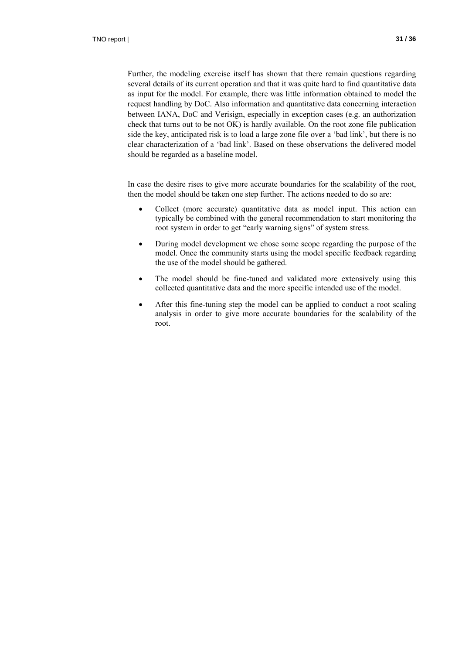Further, the modeling exercise itself has shown that there remain questions regarding several details of its current operation and that it was quite hard to find quantitative data as input for the model. For example, there was little information obtained to model the request handling by DoC. Also information and quantitative data concerning interaction between IANA, DoC and Verisign, especially in exception cases (e.g. an authorization check that turns out to be not OK) is hardly available. On the root zone file publication side the key, anticipated risk is to load a large zone file over a 'bad link', but there is no clear characterization of a 'bad link'. Based on these observations the delivered model should be regarded as a baseline model.

In case the desire rises to give more accurate boundaries for the scalability of the root, then the model should be taken one step further. The actions needed to do so are:

- Collect (more accurate) quantitative data as model input. This action can typically be combined with the general recommendation to start monitoring the root system in order to get "early warning signs" of system stress.
- During model development we chose some scope regarding the purpose of the model. Once the community starts using the model specific feedback regarding the use of the model should be gathered.
- The model should be fine-tuned and validated more extensively using this collected quantitative data and the more specific intended use of the model.
- After this fine-tuning step the model can be applied to conduct a root scaling analysis in order to give more accurate boundaries for the scalability of the root.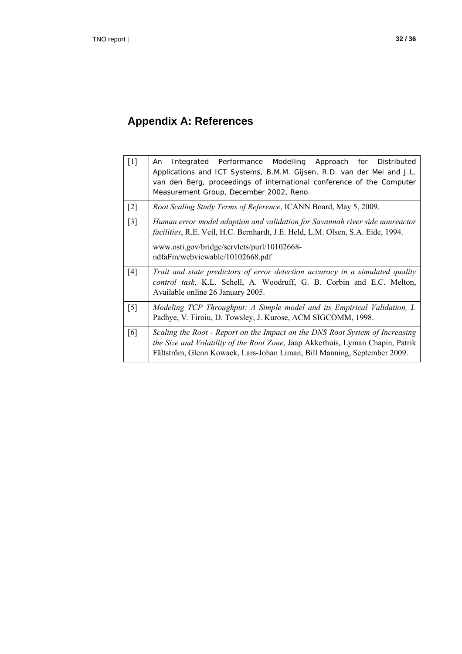# **Appendix A: References**

| $[1]$             | Integrated Performance Modelling Approach for Distributed<br>An<br>Applications and ICT Systems, B.M.M. Gijsen, R.D. van der Mei and J.L.<br>van den Berg, proceedings of international conference of the Computer<br>Measurement Group, December 2002, Reno. |
|-------------------|---------------------------------------------------------------------------------------------------------------------------------------------------------------------------------------------------------------------------------------------------------------|
| $\lceil 2 \rceil$ | Root Scaling Study Terms of Reference, ICANN Board, May 5, 2009.                                                                                                                                                                                              |
| $\lceil 3 \rceil$ | Human error model adaption and validation for Savannah river side nonreactor<br><i>facilities</i> , R.E. Veil, H.C. Bernhardt, J.E. Held, L.M. Olsen, S.A. Eide, 1994.<br>www.osti.gov/bridge/servlets/purl/10102668-<br>ndfaFm/webviewable/10102668.pdf      |
| [4]               | Trait and state predictors of error detection accuracy in a simulated quality<br>control task, K.L. Schell, A. Woodruff, G. B. Corbin and E.C. Melton,<br>Available online 26 January 2005.                                                                   |
| $\lceil 5 \rceil$ | Modeling TCP Throughput: A Simple model and its Empirical Validation, J.<br>Padhye, V. Firoiu, D. Towsley, J. Kurose, ACM SIGCOMM, 1998.                                                                                                                      |
| [6]               | Scaling the Root - Report on the Impact on the DNS Root System of Increasing<br>the Size and Volatility of the Root Zone, Jaap Akkerhuis, Lyman Chapin, Patrik<br>Fältström, Glenn Kowack, Lars-Johan Liman, Bill Manning, September 2009.                    |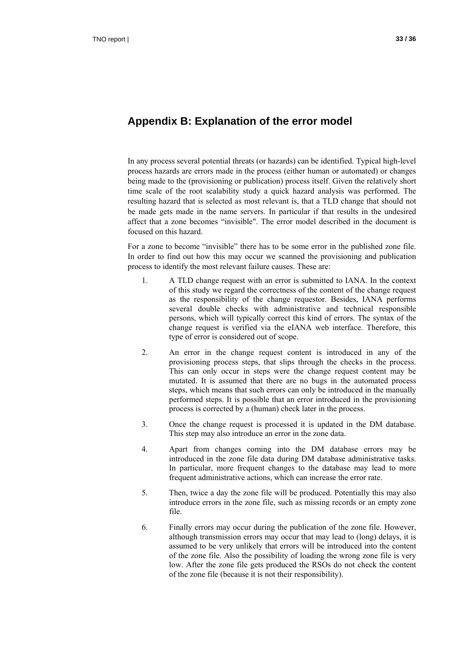### **Appendix B: Explanation of the error model**

In any process several potential threats (or hazards) can be identified. Typical high-level process hazards are errors made in the process (either human or automated) or changes being made to the (provisioning or publication) process itself. Given the relatively short time scale of the root scalability study a quick hazard analysis was performed. The resulting hazard that is selected as most relevant is, that a TLD change that should not be made gets made in the name servers. In particular if that results in the undesired affect that a zone becomes "invisible". The error model described in the document is focused on this hazard.

For a zone to become "invisible" there has to be some error in the published zone file. In order to find out how this may occur we scanned the provisioning and publication process to identify the most relevant failure causes. These are:

- 1. A TLD change request with an error is submitted to IANA. In the context of this study we regard the correctness of the content of the change request as the responsibility of the change requestor. Besides, IANA performs several double checks with administrative and technical responsible persons, which will typically correct this kind of errors. The syntax of the change request is verified via the eIANA web interface. Therefore, this type of error is considered out of scope.
- 2. An error in the change request content is introduced in any of the provisioning process steps, that slips through the checks in the process. This can only occur in steps were the change request content may be mutated. It is assumed that there are no bugs in the automated process steps, which means that such errors can only be introduced in the manually performed steps. It is possible that an error introduced in the provisioning process is corrected by a (human) check later in the process.
- 3. Once the change request is processed it is updated in the DM database. This step may also introduce an error in the zone data.
- 4. Apart from changes coming into the DM database errors may be introduced in the zone file data during DM database administrative tasks. In particular, more frequent changes to the database may lead to more frequent administrative actions, which can increase the error rate.
- 5. Then, twice a day the zone file will be produced. Potentially this may also introduce errors in the zone file, such as missing records or an empty zone file.
- 6. Finally errors may occur during the publication of the zone file. However, although transmission errors may occur that may lead to (long) delays, it is assumed to be very unlikely that errors will be introduced into the content of the zone file. Also the possibility of loading the wrong zone file is very low. After the zone file gets produced the RSOs do not check the content of the zone file (because it is not their responsibility).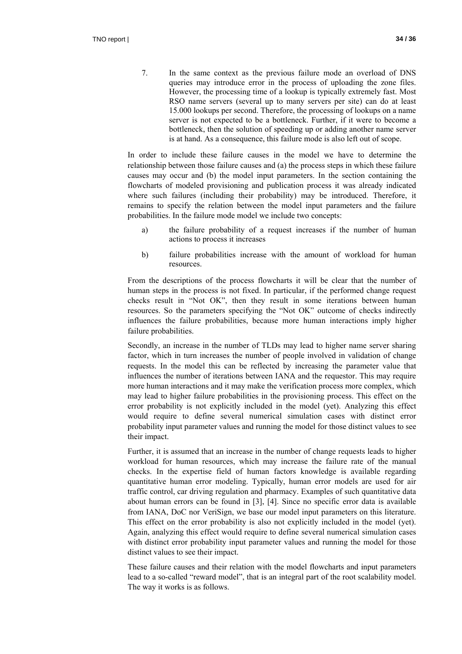7. In the same context as the previous failure mode an overload of DNS queries may introduce error in the process of uploading the zone files. However, the processing time of a lookup is typically extremely fast. Most RSO name servers (several up to many servers per site) can do at least 15.000 lookups per second. Therefore, the processing of lookups on a name server is not expected to be a bottleneck. Further, if it were to become a bottleneck, then the solution of speeding up or adding another name server is at hand. As a consequence, this failure mode is also left out of scope.

In order to include these failure causes in the model we have to determine the relationship between those failure causes and (a) the process steps in which these failure causes may occur and (b) the model input parameters. In the section containing the flowcharts of modeled provisioning and publication process it was already indicated where such failures (including their probability) may be introduced. Therefore, it remains to specify the relation between the model input parameters and the failure probabilities. In the failure mode model we include two concepts:

- a) the failure probability of a request increases if the number of human actions to process it increases
- b) failure probabilities increase with the amount of workload for human resources.

From the descriptions of the process flowcharts it will be clear that the number of human steps in the process is not fixed. In particular, if the performed change request checks result in "Not OK", then they result in some iterations between human resources. So the parameters specifying the "Not OK" outcome of checks indirectly influences the failure probabilities, because more human interactions imply higher failure probabilities.

Secondly, an increase in the number of TLDs may lead to higher name server sharing factor, which in turn increases the number of people involved in validation of change requests. In the model this can be reflected by increasing the parameter value that influences the number of iterations between IANA and the requestor. This may require more human interactions and it may make the verification process more complex, which may lead to higher failure probabilities in the provisioning process. This effect on the error probability is not explicitly included in the model (yet). Analyzing this effect would require to define several numerical simulation cases with distinct error probability input parameter values and running the model for those distinct values to see their impact.

Further, it is assumed that an increase in the number of change requests leads to higher workload for human resources, which may increase the failure rate of the manual checks. In the expertise field of human factors knowledge is available regarding quantitative human error modeling. Typically, human error models are used for air traffic control, car driving regulation and pharmacy. Examples of such quantitative data about human errors can be found in [3], [4]. Since no specific error data is available from IANA, DoC nor VeriSign, we base our model input parameters on this literature. This effect on the error probability is also not explicitly included in the model (yet). Again, analyzing this effect would require to define several numerical simulation cases with distinct error probability input parameter values and running the model for those distinct values to see their impact.

These failure causes and their relation with the model flowcharts and input parameters lead to a so-called "reward model", that is an integral part of the root scalability model. The way it works is as follows.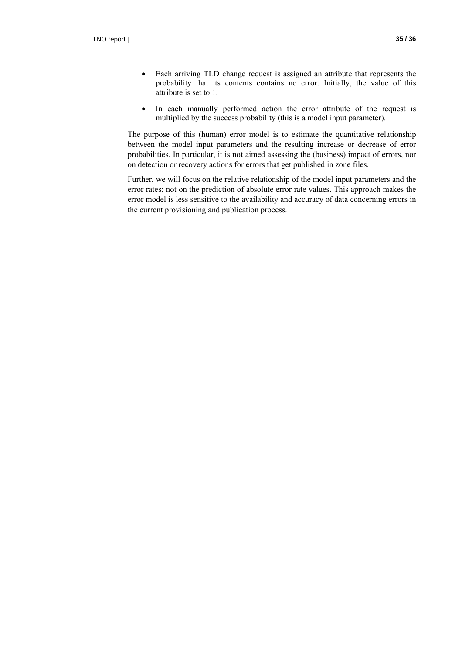- Each arriving TLD change request is assigned an attribute that represents the probability that its contents contains no error. Initially, the value of this attribute is set to 1.
- In each manually performed action the error attribute of the request is multiplied by the success probability (this is a model input parameter).

The purpose of this (human) error model is to estimate the quantitative relationship between the model input parameters and the resulting increase or decrease of error probabilities. In particular, it is not aimed assessing the (business) impact of errors, nor on detection or recovery actions for errors that get published in zone files.

Further, we will focus on the relative relationship of the model input parameters and the error rates; not on the prediction of absolute error rate values. This approach makes the error model is less sensitive to the availability and accuracy of data concerning errors in the current provisioning and publication process.